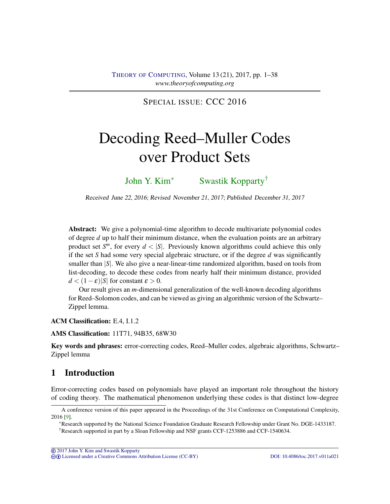SPECIAL ISSUE: CCC 2016

# <span id="page-0-0"></span>Decoding Reed–Muller Codes over Product Sets

[John Y. Kim](#page-36-0)<sup>∗</sup> [Swastik Kopparty](#page-37-0)†

Received June 22, 2016; Revised November 21, 2017; Published December 31, 2017

Abstract: We give a polynomial-time algorithm to decode multivariate polynomial codes of degree *d* up to half their minimum distance, when the evaluation points are an arbitrary product set  $S^m$ , for every  $d < |S|$ . Previously known algorithms could achieve this only if the set *S* had some very special algebraic structure, or if the degree *d* was significantly smaller than  $|S|$ . We also give a near-linear-time randomized algorithm, based on tools from list-decoding, to decode these codes from nearly half their minimum distance, provided  $d < (1 - \varepsilon) |S|$  for constant  $\varepsilon > 0$ .

Our result gives an *m*-dimensional generalization of the well-known decoding algorithms for Reed–Solomon codes, and can be viewed as giving an algorithmic version of the Schwartz– Zippel lemma.

ACM Classification: E.4, I.1.2

AMS Classification: 11T71, 94B35, 68W30

Key words and phrases: error-correcting codes, Reed–Muller codes, algebraic algorithms, Schwartz– Zippel lemma

# 1 Introduction

Error-correcting codes based on polynomials have played an important role throughout the history of coding theory. The mathematical phenomenon underlying these codes is that distinct low-degree

A conference version of this paper appeared in the Proceedings of the 31st Conference on Computational Complexity, 2016 [\[9\]](#page-35-0).

<sup>∗</sup>Research supported by the National Science Foundation Graduate Research Fellowship under Grant No. DGE-1433187. †Research supported in part by a Sloan Fellowship and NSF grants CCF-1253886 and CCF-1540634.

cb [Licensed under a Creative Commons Attribution License \(CC-BY\)](http://creativecommons.org/licenses/by/3.0/) [DOI: 10.4086/toc.2017.v011a021](http://dx.doi.org/10.4086/toc.2017.v011a021)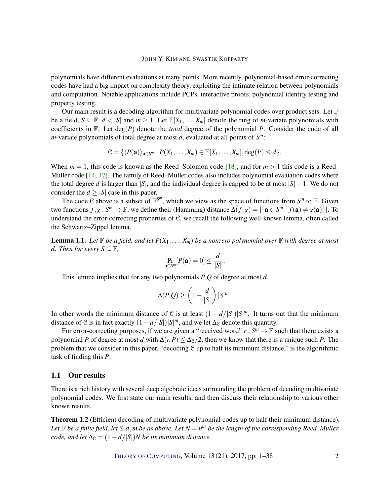<span id="page-1-1"></span>polynomials have different evaluations at many points. More recently, polynomial-based error-correcting codes have had a big impact on complexity theory, exploiting the intimate relation between polynomials and computation. Notable applications include PCPs, interactive proofs, polynomial identity testing and property testing.

Our main result is a decoding algorithm for multivariate polynomial codes over product sets. Let  $\mathbb F$ be a field,  $S \subseteq \mathbb{F}$ ,  $d < |S|$  and  $m \ge 1$ . Let  $\mathbb{F}[X_1, \ldots, X_m]$  denote the ring of *m*-variate polynomials with coefficients in F. Let deg(*P*) denote the *total* degree of the polynomial *P*. Consider the code of all *m*-variate polynomials of total degree at most *d*, evaluated at all points of *S m*:

$$
\mathcal{C} = \{ \langle P(\mathbf{a}) \rangle_{\mathbf{a} \in S^m} \mid P(X_1, \ldots, X_m) \in \mathbb{F}[X_1, \ldots, X_m], \deg(P) \leq d \}.
$$

When  $m = 1$ , this code is known as the Reed–Solomon code [\[18\]](#page-36-1), and for  $m > 1$  this code is a Reed– Muller code [\[14,](#page-36-2) [17\]](#page-36-3). The family of Reed–Muller codes also includes polynomial evaluation codes where the total degree *d* is larger than |*S*|, and the individual degree is capped to be at most  $|S| - 1$ . We do not consider the  $d \geq |S|$  case in this paper.

The code C above is a subset of  $\mathbb{F}^{S^m}$ , which we view as the space of functions from  $S^m$  to  $\mathbb{F}$ . Given two functions  $f, g: S^m \to \mathbb{F}$ , we define their (Hamming) distance  $\Delta(f, g) = |\{a \in S^m \mid f(a) \neq g(a)\}|$ . To understand the error-correcting properties of C, we recall the following well-known lemma, often called the Schwartz–Zippel lemma.

**Lemma 1.1.** Let  $\mathbb F$  be a field, and let  $P(X_1,\ldots,X_m)$  be a nonzero polynomial over  $\mathbb F$  with degree at most *d.* Then for every  $S \subseteq \mathbb{F}$ ,

$$
\Pr_{\mathbf{a}\in S^m}[P(\mathbf{a})=0]\leq \frac{d}{|S|}.
$$

This lemma implies that for any two polynomials *P*,*Q* of degree at most *d*,

$$
\Delta(P,Q) \ge \left(1 - \frac{d}{|S|}\right)|S|^m.
$$

In other words the minimum distance of C is at least  $(1 - d/|S|)|S|^m$ . It turns out that the minimum distance of C is in fact exactly  $(1 - d/|S|)|S|^m$ , and we let  $\Delta_{\mathcal{C}}$  denote this quantity.

For error-correcting purposes, if we are given a "received word"  $r : S^m \to \mathbb{F}$  such that there exists a polynomial *P* of degree at most *d* with  $\Delta(r, P) \leq \Delta_{\mathcal{C}}/2$ , then we know that there is a unique such *P*. The problem that we consider in this paper, "decoding  $C$  up to half its minimum distance," is the algorithmic task of finding this *P*.

## 1.1 Our results

There is a rich history with several deep algebraic ideas surrounding the problem of decoding multivariate polynomial codes. We first state our main results, and then discuss their relationship to various other known results.

<span id="page-1-0"></span>Theorem 1.2 (Efficient decoding of multivariate polynomial codes up to half their minimum distance). *Let*  $\mathbb F$  *be a finite field, let*  $S, d, m$  *be as above. Let*  $N = n^m$  *be the length of the corresponding Reed–Muller code, and let*  $\Delta_{\mathcal{C}} = (1 - d/|S|)N$  *be its minimum distance.*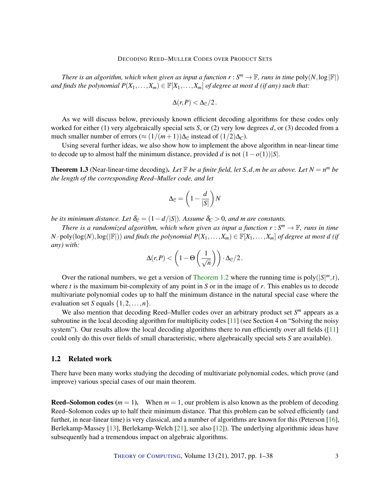<span id="page-2-0"></span>*There is an algorithm, which when given as input a function*  $r : S^m \to \mathbb{F}$ *, runs in time*  $poly(N, \log|\mathbb{F}|)$ *and finds the polynomial*  $P(X_1,...,X_m) \in \mathbb{F}[X_1,...,X_m]$  *of degree at most d (if any) such that:* 

$$
\Delta(r,P) < \Delta_{\mathcal{C}}/2.
$$

As we will discuss below, previously known efficient decoding algorithms for these codes only worked for either (1) very algebraically special sets *S*, or (2) very low degrees *d*, or (3) decoded from a much smaller number of errors ( $\approx (1/(m+1))\Delta_{\mathcal{C}}$  instead of  $(1/2)\Delta_{\mathcal{C}}$ ).

Using several further ideas, we also show how to implement the above algorithm in near-linear time to decode up to almost half the minimum distance, provided *d* is not  $(1 - o(1))|S|$ .

**Theorem 1.3** (Near-linear-time decoding). Let  $\mathbb{F}$  *be a finite field, let*  $S, d, m$  *be as above. Let*  $N = n^m$  *be the length of the corresponding Reed–Muller code, and let*

$$
\Delta_{\mathcal{C}} = \left(1 - \frac{d}{|S|}\right)N
$$

*be its minimum distance. Let*  $\delta_{\mathcal{C}} = (1 - d/|S|)$ *. Assume*  $\delta_{\mathcal{C}} > 0$ *, and m are constants.* 

*There is a randomized algorithm, which when given as input a function*  $r : S^m \to \mathbb{F}$ *, runs in time*  $N \cdot \text{poly}(\log(N), \log(|\mathbb{F}|))$  *and finds the polynomial*  $P(X_1, \ldots, X_m) \in \mathbb{F}[X_1, \ldots, X_m]$  *of degree at most d (if any) with:*

$$
\Delta(r,P) < \left(1 - \Theta\left(\frac{1}{\sqrt{n}}\right)\right) \cdot \Delta_{\mathcal{C}}/2.
$$

Over the rational numbers, we get a version of [Theorem](#page-1-0) [1.2](#page-1-0) where the running time is  $poly(|S|^m, t)$ , where *t* is the maximum bit-complexity of any point in *S* or in the image of *r*. This enables us to decode multivariate polynomial codes up to half the minimum distance in the natural special case where the evaluation set *S* equals  $\{1, 2, \ldots, n\}$ .

We also mention that decoding Reed–Muller codes over an arbitrary product set  $S<sup>m</sup>$  appears as a subroutine in the local decoding algorithm for multiplicity codes [\[11\]](#page-35-1) (see Section 4 on "Solving the noisy system"). Our results allow the local decoding algorithms there to run efficiently over all fields  $([11]$  $([11]$ could only do this over fields of small characteristic, where algebraically special sets *S* are available).

## 1.2 Related work

There have been many works studying the decoding of multivariate polynomial codes, which prove (and improve) various special cases of our main theorem.

**Reed–Solomon codes**  $(m = 1)$ . When  $m = 1$ , our problem is also known as the problem of decoding Reed–Solomon codes up to half their minimum distance. That this problem can be solved efficiently (and further, in near-linear time) is very classical, and a number of algorithms are known for this (Peterson [\[16\]](#page-36-4), Berlekamp-Massey [\[13\]](#page-36-5), Berlekamp-Welch [\[21\]](#page-36-6), see also [\[12\]](#page-35-2)). The underlying algorithmic ideas have subsequently had a tremendous impact on algebraic algorithms.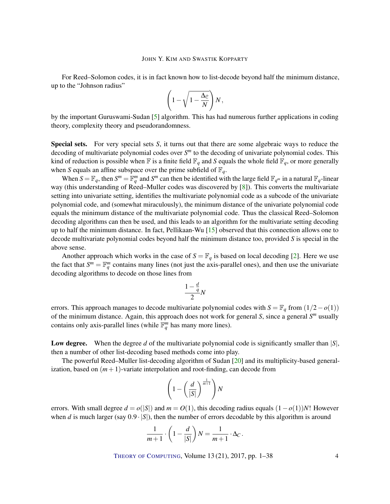<span id="page-3-0"></span>For Reed–Solomon codes, it is in fact known how to list-decode beyond half the minimum distance, up to the "Johnson radius"

$$
\left(1-\sqrt{1-\frac{\Delta_{\mathcal{C}}}{N}}\right)N,
$$

by the important Guruswami-Sudan [\[5\]](#page-35-3) algorithm. This has had numerous further applications in coding theory, complexity theory and pseudorandomness.

Special sets. For very special sets *S*, it turns out that there are some algebraic ways to reduce the decoding of multivariate polynomial codes over *S <sup>m</sup>* to the decoding of univariate polynomial codes. This kind of reduction is possible when  $\mathbb F$  is a finite field  $\mathbb F_q$  and *S* equals the whole field  $\mathbb F_q$ , or more generally when *S* equals an affine subspace over the prime subfield of  $\mathbb{F}_q$ .

When  $S = \mathbb{F}_q$ , then  $S^m = \mathbb{F}_q^m$  and  $S^m$  can then be identified with the large field  $\mathbb{F}_{q^m}$  in a natural  $\mathbb{F}_q$ -linear way (this understanding of Reed–Muller codes was discovered by [\[8\]](#page-35-4)). This converts the multivariate setting into univariate setting, identifies the multivariate polynomial code as a subcode of the univariate polynomial code, and (somewhat miraculously), the minimum distance of the univariate polynomial code equals the minimum distance of the multivariate polynomial code. Thus the classical Reed–Solomon decoding algorithms can then be used, and this leads to an algorithm for the multivariate setting decoding up to half the minimum distance. In fact, Pellikaan-Wu [\[15\]](#page-36-7) observed that this connection allows one to decode multivariate polynomial codes beyond half the minimum distance too, provided *S* is special in the above sense.

Another approach which works in the case of  $S = \mathbb{F}_q$  is based on local decoding [\[2\]](#page-35-5). Here we use the fact that  $S^m = \mathbb{F}_q^m$  contains many lines (not just the axis-parallel ones), and then use the univariate decoding algorithms to decode on those lines from

$$
\frac{1-\frac{d}{q}}{2}N
$$

errors. This approach manages to decode multivariate polynomial codes with  $S = \mathbb{F}_q$  from  $(1/2 - o(1))$ of the minimum distance. Again, this approach does not work for general *S*, since a general *S <sup>m</sup>* usually contains only axis-parallel lines (while  $\mathbb{F}_q^m$  has many more lines).

Low degree. When the degree *d* of the multivariate polynomial code is significantly smaller than |S|, then a number of other list-decoding based methods come into play.

The powerful Reed–Muller list-decoding algorithm of Sudan [\[20\]](#page-36-8) and its multiplicity-based generalization, based on  $(m+1)$ -variate interpolation and root-finding, can decode from

$$
\left(1-\left(\frac{d}{|S|}\right)^{\frac{1}{m+1}}\right)N
$$

errors. With small degree  $d = o(|S|)$  and  $m = O(1)$ , this decoding radius equals  $(1 - o(1))N!$ ! However when *d* is much larger (say  $0.9 \cdot |S|$ ), then the number of errors decodable by this algorithm is around

$$
\frac{1}{m+1} \cdot \left(1 - \frac{d}{|S|}\right)N = \frac{1}{m+1} \cdot \Delta_C.
$$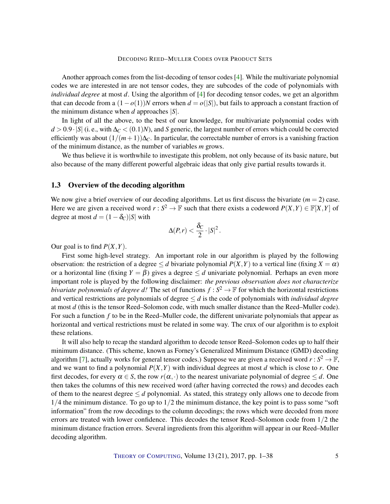<span id="page-4-0"></span>Another approach comes from the list-decoding of tensor codes [\[4\]](#page-35-6). While the multivariate polynomial codes we are interested in are not tensor codes, they are subcodes of the code of polynomials with *individual degree* at most *d*. Using the algorithm of [\[4\]](#page-35-6) for decoding tensor codes, we get an algorithm that can decode from a  $(1-o(1))N$  errors when  $d = o(|S|)$ , but fails to approach a constant fraction of the minimum distance when *d* approaches |*S*|.

In light of all the above, to the best of our knowledge, for multivariate polynomial codes with  $d > 0.9 \cdot |S|$  (i. e., with  $\Delta_C < (0.1)N$ ), and *S* generic, the largest number of errors which could be corrected efficiently was about  $(1/(m+1))\Delta_C$ . In particular, the correctable number of errors is a vanishing fraction of the minimum distance, as the number of variables *m* grows.

We thus believe it is worthwhile to investigate this problem, not only because of its basic nature, but also because of the many different powerful algebraic ideas that only give partial results towards it.

## 1.3 Overview of the decoding algorithm

We now give a brief overview of our decoding algorithms. Let us first discuss the bivariate  $(m = 2)$  case. Here we are given a received word  $r : S^2 \to \mathbb{F}$  such that there exists a codeword  $P(X,Y) \in \mathbb{F}[X,Y]$  of degree at most  $d = (1 - \delta_C)|S|$  with

$$
\Delta(P,r) < \frac{\delta_C}{2} \cdot |S|^2.
$$

Our goal is to find *P*(*X*,*Y*).

First some high-level strategy. An important role in our algorithm is played by the following observation: the restriction of a degree  $\leq d$  bivariate polynomial  $P(X, Y)$  to a vertical line (fixing  $X = \alpha$ ) or a horizontal line (fixing  $Y = \beta$ ) gives a degree  $\leq d$  univariate polynomial. Perhaps an even more important role is played by the following disclaimer: *the previous observation does not characterize bivariate polynomials of degree d!* The set of functions  $f : S^2 \to \mathbb{F}$  for which the horizontal restrictions and vertical restrictions are polynomials of degree ≤ *d* is the code of polynomials with *individual degree* at most *d* (this is the tensor Reed–Solomon code, with much smaller distance than the Reed–Muller code). For such a function *f* to be in the Reed–Muller code, the different univariate polynomials that appear as horizontal and vertical restrictions must be related in some way. The crux of our algorithm is to exploit these relations.

It will also help to recap the standard algorithm to decode tensor Reed–Solomon codes up to half their minimum distance. (This scheme, known as Forney's Generalized Minimum Distance (GMD) decoding algorithm [\[7\]](#page-35-7), actually works for general tensor codes.) Suppose we are given a received word  $r : S^2 \to \mathbb{F}$ , and we want to find a polynomial  $P(X, Y)$  with individual degrees at most *d* which is close to *r*. One first decodes, for every  $\alpha \in S$ , the row  $r(\alpha, \cdot)$  to the nearest univariate polynomial of degree  $\leq d$ . One then takes the columns of this new received word (after having corrected the rows) and decodes each of them to the nearest degree  $\leq d$  polynomial. As stated, this strategy only allows one to decode from  $1/4$  the minimum distance. To go up to  $1/2$  the minimum distance, the key point is to pass some "soft" information" from the row decodings to the column decodings; the rows which were decoded from more errors are treated with lower confidence. This decodes the tensor Reed–Solomon code from 1/2 the minimum distance fraction errors. Several ingredients from this algorithm will appear in our Reed–Muller decoding algorithm.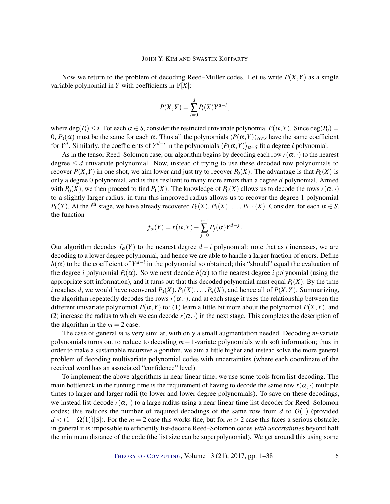Now we return to the problem of decoding Reed–Muller codes. Let us write  $P(X, Y)$  as a single variable polynomial in *Y* with coefficients in  $\mathbb{F}[X]$ :

$$
P(X,Y) = \sum_{i=0}^{d} P_i(X)Y^{d-i},
$$

where  $\deg(P_i) \leq i$ . For each  $\alpha \in S$ , consider the restricted univariate polynomial  $P(\alpha, Y)$ . Since  $\deg(P_0)$  = 0,  $P_0(\alpha)$  must be the same for each α. Thus all the polynomials  $\langle P(\alpha, Y) \rangle_{\alpha \in S}$  have the same coefficient for  $Y^d$ . Similarly, the coefficients of  $Y^{d-i}$  in the polynomials  $\langle P(\alpha, Y) \rangle_{\alpha \in S}$  fit a degree *i* polynomial.

As in the tensor Reed–Solomon case, our algorithm begins by decoding each row  $r(\alpha, \cdot)$  to the nearest degree  $\leq d$  univariate polynomial. Now, instead of trying to use these decoded row polynomials to recover  $P(X, Y)$  in one shot, we aim lower and just try to recover  $P_0(X)$ . The advantage is that  $P_0(X)$  is only a degree 0 polynomial, and is thus resilient to many more errors than a degree *d* polynomial. Armed with  $P_0(X)$ , we then proceed to find  $P_1(X)$ . The knowledge of  $P_0(X)$  allows us to decode the rows  $r(\alpha, \cdot)$ to a slightly larger radius; in turn this improved radius allows us to recover the degree 1 polynomial *P*<sub>1</sub>(*X*). At the *i*<sup>th</sup> stage, we have already recovered *P*<sub>0</sub>(*X*), *P*<sub>1</sub>(*X*), ..., *P*<sub>*i*-1</sub>(*X*). Consider, for each  $\alpha \in S$ , the function

$$
f_{\alpha}(Y) = r(\alpha, Y) - \sum_{j=0}^{i-1} P_j(\alpha) Y^{d-j}.
$$

Our algorithm decodes  $f_\alpha(Y)$  to the nearest degree  $d - i$  polynomial: note that as *i* increases, we are decoding to a lower degree polynomial, and hence we are able to handle a larger fraction of errors. Define  $h(\alpha)$  to be the coefficient of  $Y^{d-i}$  in the polynomial so obtained; this "should" equal the evaluation of the degree *i* polynomial  $P_i(\alpha)$ . So we next decode  $h(\alpha)$  to the nearest degree *i* polynomial (using the appropriate soft information), and it turns out that this decoded polynomial must equal  $P_i(X)$ . By the time *i* reaches *d*, we would have recovered  $P_0(X), P_1(X), \ldots, P_d(X)$ , and hence all of  $P(X, Y)$ . Summarizing, the algorithm repeatedly decodes the rows  $r(\alpha, \cdot)$ , and at each stage it uses the relationship between the different univariate polynomial  $P(\alpha, Y)$  to: (1) learn a little bit more about the polynomial  $P(X, Y)$ , and (2) increase the radius to which we can decode  $r(\alpha, \cdot)$  in the next stage. This completes the description of the algorithm in the  $m = 2$  case.

The case of general *m* is very similar, with only a small augmentation needed. Decoding *m*-variate polynomials turns out to reduce to decoding *m*−1-variate polynomials with soft information; thus in order to make a sustainable recursive algorithm, we aim a little higher and instead solve the more general problem of decoding multivariate polynomial codes with uncertainties (where each coordinate of the received word has an associated "confidence" level).

To implement the above algorithms in near-linear time, we use some tools from list-decoding. The main bottleneck in the running time is the requirement of having to decode the same row  $r(\alpha, \cdot)$  multiple times to larger and larger radii (to lower and lower degree polynomials). To save on these decodings, we instead list-decode  $r(\alpha, \cdot)$  to a large radius using a near-linear-time list-decoder for Reed–Solomon codes; this reduces the number of required decodings of the same row from *d* to  $O(1)$  (provided *d* < (1 − Ω(1))|*S*|). For the *m* = 2 case this works fine, but for *m* > 2 case this faces a serious obstacle; in general it is impossible to efficiently list-decode Reed–Solomon codes *with uncertainties* beyond half the minimum distance of the code (the list size can be superpolynomial). We get around this using some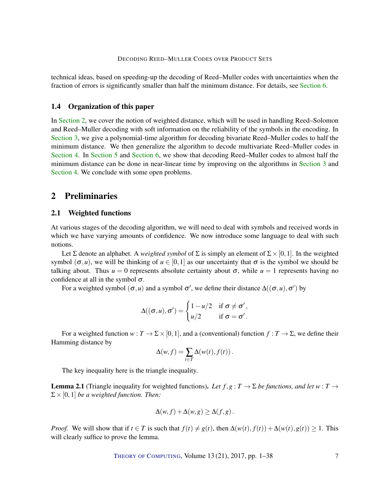technical ideas, based on speeding-up the decoding of Reed–Muller codes with uncertainties when the fraction of errors is significantly smaller than half the minimum distance. For details, see [Section](#page-21-0) [6.](#page-21-0)

## 1.4 Organization of this paper

In [Section](#page-6-0) [2,](#page-6-0) we cover the notion of weighted distance, which will be used in handling Reed–Solomon and Reed–Muller decoding with soft information on the reliability of the symbols in the encoding. In [Section](#page-8-0) [3,](#page-8-0) we give a polynomial-time algorithm for decoding bivariate Reed–Muller codes to half the minimum distance. We then generalize the algorithm to decode multivariate Reed–Muller codes in [Section](#page-11-0) [4.](#page-11-0) In [Section](#page-16-0) [5](#page-16-0) and [Section](#page-21-0) [6,](#page-21-0) we show that decoding Reed–Muller codes to almost half the minimum distance can be done in near-linear time by improving on the algorithms in [Section](#page-8-0) [3](#page-8-0) and [Section](#page-11-0) [4.](#page-11-0) We conclude with some open problems.

# <span id="page-6-0"></span>2 Preliminaries

# 2.1 Weighted functions

At various stages of the decoding algorithm, we will need to deal with symbols and received words in which we have varying amounts of confidence. We now introduce some language to deal with such notions.

Let  $\Sigma$  denote an alphabet. A *weighted symbol* of  $\Sigma$  is simply an element of  $\Sigma \times [0,1]$ . In the weighted symbol  $(\sigma, u)$ , we will be thinking of  $u \in [0, 1]$  as our uncertainty that  $\sigma$  is the symbol we should be talking about. Thus  $u = 0$  represents absolute certainty about  $\sigma$ , while  $u = 1$  represents having no confidence at all in the symbol  $\sigma$ .

For a weighted symbol  $(\sigma, u)$  and a symbol  $\sigma'$ , we define their distance  $\Delta((\sigma, u), \sigma')$  by

$$
\Delta((\sigma, u), \sigma') = \begin{cases} 1 - u/2 & \text{if } \sigma \neq \sigma', \\ u/2 & \text{if } \sigma = \sigma'. \end{cases}
$$

For a weighted function  $w : T \to \Sigma \times [0,1]$ , and a (conventional) function  $f : T \to \Sigma$ , we define their Hamming distance by

$$
\Delta(w, f) = \sum_{t \in T} \Delta(w(t), f(t)).
$$

The key inequality here is the triangle inequality.

**Lemma 2.1** (Triangle inequality for weighted functions). Let  $f, g: T \to \Sigma$  be functions, and let  $w: T \to$  $\Sigma \times [0,1]$  *be a weighted function. Then:* 

$$
\Delta(w, f) + \Delta(w, g) \geq \Delta(f, g).
$$

*Proof.* We will show that if  $t \in T$  is such that  $f(t) \neq g(t)$ , then  $\Delta(w(t), f(t)) + \Delta(w(t), g(t)) \geq 1$ . This will clearly suffice to prove the lemma.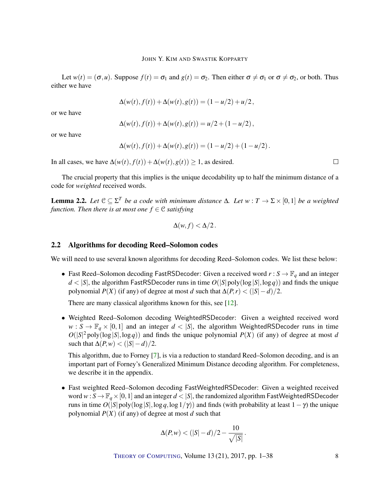<span id="page-7-0"></span>Let  $w(t) = (\sigma, u)$ . Suppose  $f(t) = \sigma_1$  and  $g(t) = \sigma_2$ . Then either  $\sigma \neq \sigma_1$  or  $\sigma \neq \sigma_2$ , or both. Thus either we have

$$
\Delta(w(t), f(t)) + \Delta(w(t), g(t)) = (1 - u/2) + u/2,
$$

or we have

$$
\Delta(w(t), f(t)) + \Delta(w(t), g(t)) = u/2 + (1 - u/2),
$$

or we have

$$
\Delta(w(t), f(t)) + \Delta(w(t), g(t)) = (1 - u/2) + (1 - u/2).
$$

In all cases, we have  $\Delta(w(t), f(t)) + \Delta(w(t), g(t)) \ge 1$ , as desired.

The crucial property that this implies is the unique decodability up to half the minimum distance of a code for *weighted* received words.

**Lemma 2.2.** Let  $\mathcal{C} \subseteq \Sigma^T$  be a code with minimum distance Δ. Let  $w : T \to \Sigma \times [0,1]$  be a weighted *function. Then there is at most one*  $f \in \mathcal{C}$  *satisfying* 

$$
\Delta(w, f) < \Delta/2 \, .
$$

## 2.2 Algorithms for decoding Reed–Solomon codes

We will need to use several known algorithms for decoding Reed–Solomon codes. We list these below:

• Fast Reed–Solomon decoding FastRSDecoder: Given a received word  $r : S \to \mathbb{F}_q$  and an integer  $d < |S|$ , the algorithm FastRSDecoder runs in time  $O(|S| \text{poly}(\log |S|, \log q))$  and finds the unique polynomial  $P(X)$  (if any) of degree at most *d* such that  $\Delta(P,r) < (|S|-d)/2$ .

There are many classical algorithms known for this, see [\[12\]](#page-35-2).

• Weighted Reed–Solomon decoding WeightedRSDecoder: Given a weighted received word  $w : S \to \mathbb{F}_q \times [0,1]$  and an integer  $d < |S|$ , the algorithm WeightedRSDecoder runs in time  $O(|S|^2 \text{poly}(\log |S|, \log q))$  and finds the unique polynomial  $P(X)$  (if any) of degree at most *d* such that  $\Delta(P, w) < (|S| - d)/2$ .

This algorithm, due to Forney [\[7\]](#page-35-7), is via a reduction to standard Reed–Solomon decoding, and is an important part of Forney's Generalized Minimum Distance decoding algorithm. For completeness, we describe it in the appendix.

• Fast weighted Reed–Solomon decoding FastWeightedRSDecoder: Given a weighted received word  $w: S \to \mathbb{F}_q \times [0,1]$  and an integer  $d < |S|$ , the randomized algorithm FastWeightedRSDecoder runs in time  $O(|S|)$  poly(log  $|S|$ ,log q,log  $1/\gamma$ ) and finds (with probability at least  $1-\gamma$ ) the unique polynomial  $P(X)$  (if any) of degree at most *d* such that

$$
\Delta(P, w) < (|S| - d)/2 - \frac{10}{\sqrt{|S|}}.
$$

THEORY OF C[OMPUTING](http://dx.doi.org/10.4086/toc), Volume 13 (21), 2017, pp. 1–38 8

 $\Box$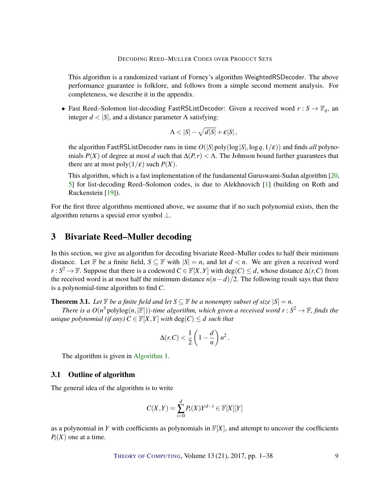<span id="page-8-2"></span>This algorithm is a randomized variant of Forney's algorithm WeightedRSDecoder. The above performance guarantee is folklore, and follows from a simple second moment analysis. For completeness, we describe it in the appendix.

• Fast Reed–Solomon list-decoding FastRSListDecoder: Given a received word  $r : S \to \mathbb{F}_q$ , an integer  $d < |S|$ , and a distance parameter  $\Lambda$  satisfying:

$$
\Lambda < |S| - \sqrt{d|S|} + \varepsilon |S| \,,
$$

the algorithm FastRSListDecoder runs in time  $O(|S| \text{poly}(\log |S|, \log q, 1/\varepsilon))$  and finds *all* polynomials  $P(X)$  of degree at most *d* such that  $\Delta(P,r) < \Lambda$ . The Johnson bound further guarantees that there are at most  $poly(1/\varepsilon)$  such  $P(X)$ .

This algorithm, which is a fast implementation of the fundamental Guruswami-Sudan algorithm [\[20,](#page-36-8) [5\]](#page-35-3) for list-decoding Reed–Solomon codes, is due to Alekhnovich [\[1\]](#page-35-8) (building on Roth and Ruckenstein [\[19\]](#page-36-9)).

For the first three algorithms mentioned above, we assume that if no such polynomial exists, then the algorithm returns a special error symbol ⊥.

# <span id="page-8-0"></span>3 Bivariate Reed–Muller decoding

In this section, we give an algorithm for decoding bivariate Reed–Muller codes to half their minimum distance. Let F be a finite field,  $S \subseteq F$  with  $|S| = n$ , and let  $d < n$ . We are given a received word *r* : *S*<sup>2</sup> → **F**. Suppose that there is a codeword  $C \in \mathbb{F}[X, Y]$  with deg(*C*) ≤ *d*, whose distance  $\Delta(r, C)$  from the received word is at most half the minimum distance  $n(n-d)/2$ . The following result says that there is a polynomial-time algorithm to find *C*.

<span id="page-8-1"></span>**Theorem 3.1.** Let  $\mathbb{F}$  be a finite field and let  $S \subseteq \mathbb{F}$  be a nonempty subset of size  $|S| = n$ .

*There is a*  $O(n^3 \text{ polylog}(n, |\mathbb{F}|))$ -time algorithm, which given a received word  $r : S^2 \to \mathbb{F}$ , finds the *unique polynomial (if any)*  $C \in \mathbb{F}[X, Y]$  *with*  $deg(C) \leq d$  *such that* 

$$
\Delta(r,C) < \frac{1}{2} \left( 1 - \frac{d}{n} \right) n^2 \, .
$$

The algorithm is given in [Algorithm](#page-9-0) [1.](#page-9-0)

# 3.1 Outline of algorithm

The general idea of the algorithm is to write

$$
C(X,Y) = \sum_{i=0}^{d} P_i(X)Y^{d-i} \in \mathbb{F}[X][Y]
$$

as a polynomial in *Y* with coefficients as polynomials in  $F[X]$ , and attempt to uncover the coefficients  $P_i(X)$  one at a time.

THEORY OF C[OMPUTING](http://dx.doi.org/10.4086/toc), Volume 13 (21), 2017, pp. 1–38 9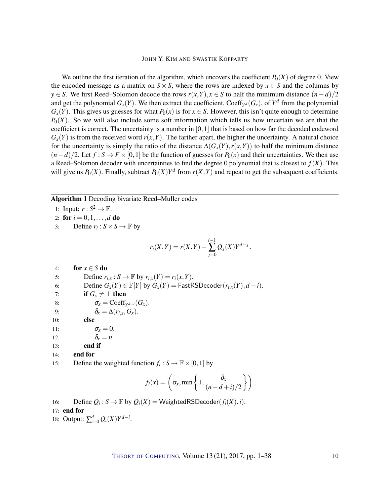We outline the first iteration of the algorithm, which uncovers the coefficient  $P_0(X)$  of degree 0. View the encoded message as a matrix on  $S \times S$ , where the rows are indexed by  $x \in S$  and the columns by *y* ∈ *S*. We first Reed–Solomon decode the rows *r*(*x*,*Y*), *x* ∈ *S* to half the minimum distance (*n*−*d*)/2 and get the polynomial  $G_x(Y)$ . We then extract the coefficient, Coeff<sub>*Yd*</sub>( $G_x$ ), of  $Y^d$  from the polynomial  $G_x(Y)$ . This gives us guesses for what  $P_0(x)$  is for  $x \in S$ . However, this isn't quite enough to determine  $P_0(X)$ . So we will also include some soft information which tells us how uncertain we are that the coefficient is correct. The uncertainty is a number in  $[0,1]$  that is based on how far the decoded codeword  $G<sub>x</sub>(Y)$  is from the received word  $r(x, Y)$ . The farther apart, the higher the uncertainty. A natural choice for the uncertainty is simply the ratio of the distance  $\Delta(G_x(Y), r(x, Y))$  to half the minimum distance  $(n-d)/2$ . Let  $f : S \to F \times [0,1]$  be the function of guesses for  $P_0(x)$  and their uncertainties. We then use a Reed–Solomon decoder with uncertainties to find the degree 0 polynomial that is closest to  $f(X)$ . This will give us  $P_0(X)$ . Finally, subtract  $P_0(X)Y^d$  from  $r(X,Y)$  and repeat to get the subsequent coefficients.

## Algorithm 1 Decoding bivariate Reed–Muller codes

<span id="page-9-0"></span>1: Input:  $r : S^2 \to \mathbb{F}$ .

- 2: for  $i = 0, 1, ..., d$  do
- 3: Define  $r_i$ :  $S \times S \rightarrow \mathbb{F}$  by

$$
r_i(X,Y) = r(X,Y) - \sum_{j=0}^{i-1} Q_j(X)Y^{d-j}
$$

.

4: for  $x \in S$  do

- 5: Define  $r_{i,x}: S \to \mathbb{F}$  by  $r_{i,x}(Y) = r_i(x, Y)$ .
- 6: Define  $G_x(Y) \in \mathbb{F}[Y]$  by  $G_x(Y) = \text{FastRSDecoder}(r_{i,x}(Y), d i)$ .
- 7: **if**  $G_x \neq \perp$  then
- 8:  $\sigma_x = \text{Coeff}_{Y^{d-i}}(G_x).$
- 9:  $\delta_x = \Delta(r_{i,x}, G_x).$
- 10: else
- 11:  $\sigma_x = 0$ .
- 12:  $\delta_x = n$ .
- 13: end if
- 14: end for
- 15: Define the weighted function  $f_i : S \to \mathbb{F} \times [0,1]$  by

$$
f_i(x) = \left(\sigma_x, \min\left\{1, \frac{\delta_x}{(n-d+i)/2}\right\}\right).
$$

16: Define  $Q_i$ :  $S \to \mathbb{F}$  by  $Q_i(X)$  = WeightedRSDecoder( $f_i(X), i$ ). 17: end for 18: Output:  $\sum_{i=0}^{d} Q_i(X)Y^{d-i}$ .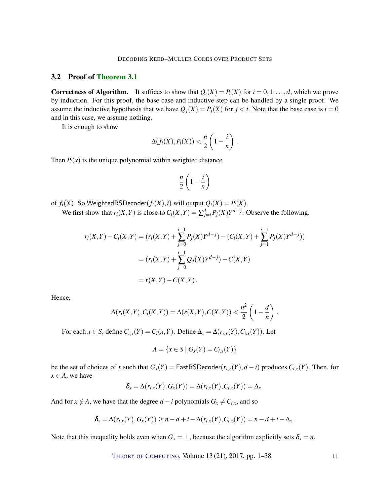## 3.2 Proof of [Theorem](#page-8-1) [3.1](#page-8-1)

**Correctness of Algorithm.** It suffices to show that  $Q_i(X) = P_i(X)$  for  $i = 0, 1, \ldots, d$ , which we prove by induction. For this proof, the base case and inductive step can be handled by a single proof. We assume the inductive hypothesis that we have  $Q_i(X) = P_i(X)$  for  $i < i$ . Note that the base case is  $i = 0$ and in this case, we assume nothing.

It is enough to show

$$
\Delta(f_i(X), P_i(X)) < \frac{n}{2}\left(1-\frac{i}{n}\right).
$$

Then  $P_i(x)$  is the unique polynomial within weighted distance

$$
\frac{n}{2}\left(1-\frac{i}{n}\right)
$$

of  $f_i(X)$ . So WeightedRSDecoder $(f_i(X), i)$  will output  $Q_i(X) = P_i(X)$ .

We first show that  $r_i(X, Y)$  is close to  $C_i(X, Y) = \sum_{j=i}^d P_j(X)Y^{d-j}$ . Observe the following.

$$
r_i(X,Y) - C_i(X,Y) = (r_i(X,Y) + \sum_{j=0}^{i-1} P_j(X)Y^{d-j}) - (C_i(X,Y) + \sum_{j=1}^{i-1} P_j(X)Y^{d-j}))
$$
  
= 
$$
(r_i(X,Y) + \sum_{j=0}^{i-1} Q_j(X)Y^{d-j}) - C(X,Y)
$$
  
= 
$$
r(X,Y) - C(X,Y).
$$

Hence,

$$
\Delta(r_i(X,Y),C_i(X,Y))=\Delta(r(X,Y),C(X,Y))<\frac{n^2}{2}\left(1-\frac{d}{n}\right).
$$

For each  $x \in S$ , define  $C_{i,x}(Y) = C_i(x, Y)$ . Define  $\Delta_x = \Delta(r_{i,x}(Y), C_{i,x}(Y))$ . Let

$$
A = \{x \in S \mid G_x(Y) = C_{i,x}(Y)\}
$$

be the set of choices of *x* such that  $G_x(Y) = \text{FastRSDecoder}(r_{i,x}(Y), d - i)$  produces  $C_{i,x}(Y)$ . Then, for  $x \in A$ , we have

$$
\delta_x = \Delta(r_{i,x}(Y), G_x(Y)) = \Delta(r_{i,x}(Y), C_{i,x}(Y)) = \Delta_x.
$$

And for  $x \notin A$ , we have that the degree  $d - i$  polynomials  $G_x \neq C_{i,x}$ , and so

$$
\delta_x = \Delta(r_{i,x}(Y), G_x(Y)) \ge n - d + i - \Delta(r_{i,x}(Y), C_{i,x}(Y)) = n - d + i - \Delta_x.
$$

Note that this inequality holds even when  $G_x = \perp$ , because the algorithm explicitly sets  $\delta_x = n$ .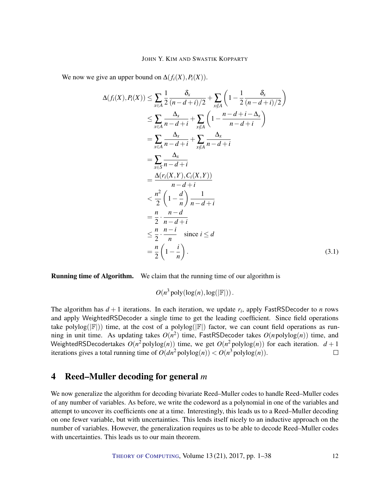We now we give an upper bound on  $\Delta(f_i(X), P_i(X))$ .

$$
\Delta(f_i(X), P_i(X)) \leq \sum_{x \in A} \frac{1}{2} \frac{\delta_x}{(n-d+i)/2} + \sum_{x \notin A} \left( 1 - \frac{1}{2} \frac{\delta_x}{(n-d+i)/2} \right)
$$
  
\n
$$
\leq \sum_{x \in A} \frac{\Delta_x}{n-d+i} + \sum_{x \notin A} \left( 1 - \frac{n-d+i-\Delta_x}{n-d+i} \right)
$$
  
\n
$$
= \sum_{x \in A} \frac{\Delta_x}{n-d+i} + \sum_{x \notin A} \frac{\Delta_x}{n-d+i}
$$
  
\n
$$
= \sum_{x \in S} \frac{\Delta_x}{n-d+i}
$$
  
\n
$$
= \frac{\Delta(r_i(X, Y), C_i(X, Y))}{n-d+i}
$$
  
\n
$$
< \frac{n^2}{2} \left( 1 - \frac{d}{n} \right) \frac{1}{n-d+i}
$$
  
\n
$$
= \frac{n}{2} \cdot \frac{n-d}{n-d+i}
$$
  
\n
$$
\leq \frac{n}{2} \cdot \frac{n-i}{n}
$$
 since  $i \leq d$   
\n
$$
= \frac{n}{2} \left( 1 - \frac{i}{n} \right).
$$
 (3.1)

Running time of Algorithm. We claim that the running time of our algorithm is

<span id="page-11-1"></span> $O(n^3 \text{poly}(\log(n), \log(|\mathbb{F}|))$ .

The algorithm has *d* + 1 iterations. In each iteration, we update *r<sup>i</sup>* , apply FastRSDecoder to *n* rows and apply WeightedRSDecoder a single time to get the leading coefficient. Since field operations take polylog( $|\mathbb{F}|$ )) time, at the cost of a polylog( $|\mathbb{F}|$ ) factor, we can count field operations as running in unit time. As updating takes  $O(n^2)$  time, FastRSDecoder takes  $O(npolylog(n))$  time, and WeightedRSDecodertakes  $O(n^2 \text{polylog}(n))$  time, we get  $O(n^2 \text{polylog}(n))$  for each iteration.  $d+1$ iterations gives a total running time of  $O(dn^2 \text{polylog}(n)) < O(n^3 \text{polylog}(n))$ .  $\Box$ 

# <span id="page-11-0"></span>4 Reed–Muller decoding for general *m*

We now generalize the algorithm for decoding bivariate Reed–Muller codes to handle Reed–Muller codes of any number of variables. As before, we write the codeword as a polynomial in one of the variables and attempt to uncover its coefficients one at a time. Interestingly, this leads us to a Reed–Muller decoding on one fewer variable, but with uncertainties. This lends itself nicely to an inductive approach on the number of variables. However, the generalization requires us to be able to decode Reed–Muller codes with uncertainties. This leads us to our main theorem.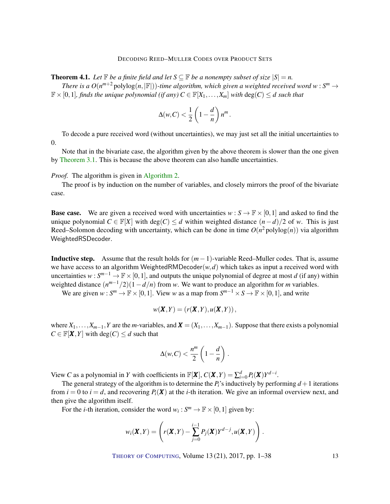**Theorem 4.1.** Let  $\mathbb{F}$  be a finite field and let  $S \subseteq \mathbb{F}$  be a nonempty subset of size  $|S| = n$ .

*There is a*  $O(n^{m+2} \text{polylog}(n, |\mathbb{F}|))$ -time algorithm, which given a weighted received word  $w : S^m \to$  $\mathbb{F} \times [0,1]$ *, finds the unique polynomial (if any)*  $C \in \mathbb{F}[X_1,\ldots,X_m]$  *with*  $\deg(C) \leq d$  *such that* 

$$
\Delta(w, C) < \frac{1}{2} \left( 1 - \frac{d}{n} \right) n^m
$$

.

To decode a pure received word (without uncertainties), we may just set all the initial uncertainties to 0.

Note that in the bivariate case, the algorithm given by the above theorem is slower than the one given by [Theorem](#page-8-1) [3.1.](#page-8-1) This is because the above theorem can also handle uncertainties.

#### *Proof.* The algorithm is given in [Algorithm](#page-13-0) [2.](#page-13-0)

The proof is by induction on the number of variables, and closely mirrors the proof of the bivariate case.

**Base case.** We are given a received word with uncertainties  $w : S \to \mathbb{F} \times [0,1]$  and asked to find the unique polynomial  $C \in \mathbb{F}[X]$  with deg( $C \le d$  within weighted distance  $(n-d)/2$  of *w*. This is just Reed–Solomon decoding with uncertainty, which can be done in time  $O(n^2 \text{polylog}(n))$  via algorithm WeightedRSDecoder.

Inductive step. Assume that the result holds for (*m*−1)-variable Reed–Muller codes. That is, assume we have access to an algorithm WeightedRMDecoder $(w, d)$  which takes as input a received word with uncertainties  $w: S^{m-1} \to \mathbb{F} \times [0,1]$ , and outputs the unique polynomial of degree at most *d* (if any) within weighted distance  $(n^{m-1}/2)(1-d/n)$  from *w*. We want to produce an algorithm for *m* variables.

We are given  $w: S^m \to \mathbb{F} \times [0,1]$ . View *w* as a map from  $S^{m-1} \times S \to \mathbb{F} \times [0,1]$ , and write

$$
w(\boldsymbol{X},Y)=(r(\boldsymbol{X},Y),u(\boldsymbol{X},Y)),
$$

where  $X_1, \ldots, X_{m-1}, Y$  are the *m*-variables, and  $\mathbf{X} = (X_1, \ldots, X_{m-1})$ . Suppose that there exists a polynomial  $C \in \mathbb{F}[\mathbf{X}, Y]$  with deg(*C*)  $\leq d$  such that

$$
\Delta(w,C)<\frac{n^m}{2}\left(1-\frac{d}{n}\right).
$$

View *C* as a polynomial in *Y* with coefficients in  $\mathbb{F}[X]$ ,  $C(X,Y) = \sum_{i=0}^{d} P_i(X)Y^{d-i}$ .

The general strategy of the algorithm is to determine the  $P_i$ 's inductively by performing  $d+1$  iterations from  $i = 0$  to  $i = d$ , and recovering  $P_i(\mathbf{X})$  at the *i*-th iteration. We give an informal overview next, and then give the algorithm itself.

For the *i*-th iteration, consider the word  $w_i : S^m \to \mathbb{F} \times [0,1]$  given by:

$$
w_i(\boldsymbol{X}, Y) = \left( r(\boldsymbol{X}, Y) - \sum_{j=0}^{i-1} P_j(\boldsymbol{X}) Y^{d-j}, u(\boldsymbol{X}, Y) \right).
$$

THEORY OF C[OMPUTING](http://dx.doi.org/10.4086/toc), Volume 13 (21), 2017, pp. 1–38 13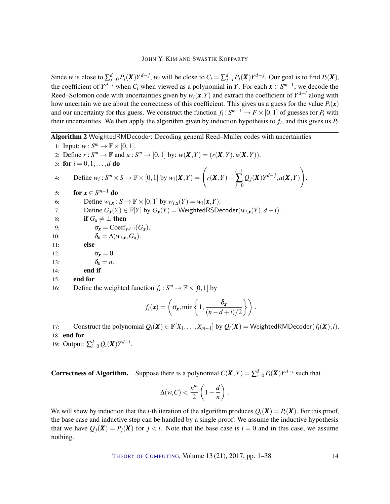Since w is close to  $\sum_{j=0}^{d} P_j(\mathbf{X}) Y^{d-j}$ , w<sub>i</sub> will be close to  $C_i = \sum_{j=i}^{d} P_j(\mathbf{X}) Y^{d-j}$ . Our goal is to find  $P_i(\mathbf{X})$ , the coefficient of  $Y^{d-i}$  when  $C_i$  when viewed as a polynomial in *Y*. For each  $x \in S^{m-1}$ , we decode the Reed–Solomon code with uncertainties given by  $w_i(x, Y)$  and extract the coefficient of  $Y^{d-i}$  along with how uncertain we are about the correctness of this coefficient. This gives us a guess for the value  $P_i(\mathbf{x})$ and our uncertainty for this guess. We construct the function  $f_i: S^{m-1} \to F \times [0,1]$  of guesses for  $P_i$  with their uncertainties. We then apply the algorithm given by induction hypothesis to  $f_i$ , and this gives us  $P_i$ .

Algorithm 2 WeightedRMDecoder: Decoding general Reed–Muller codes with uncertainties

<span id="page-13-0"></span>1: Input:  $w: S^m \to \mathbb{F} \times [0,1].$ 2: Define  $r: S^m \to \mathbb{F}$  and  $u: S^m \to [0,1]$  by:  $w(\mathbf{X}, Y) = (r(\mathbf{X}, Y), u(\mathbf{X}, Y))$ . 3: for  $i = 0, 1, ..., d$  do 4: Define  $w_i : S^m \times S \to \mathbb{F} \times [0,1]$  by  $w_i(\mathbf{X}, Y) = \begin{pmatrix} r(\mathbf{X}, Y) - r(\mathbf{X}, Y) \end{pmatrix}$ *i*−1 ∑ *j*=0  $Q_j(X)Y^{d-j}, u(X, Y)$  $\setminus$ . 5: **for**  $x \in S^{m-1}$  do 6: Define  $w_{i,x}: S \to \mathbb{F} \times [0,1]$  by  $w_{i,x}(Y) = w_i(x,Y)$ . 7: Define  $G_{\mathbf{x}}(Y) \in \mathbb{F}[Y]$  by  $G_{\mathbf{x}}(Y) = \text{WeightedRSDecoder}(w_{i,\mathbf{x}}(Y), d - i)$ . 8: **if**  $G_x \neq \perp$  then 9:  $\sigma_{\mathbf{x}} = \text{Coeff}_{Y^{d-i}}(G_{\mathbf{x}}).$ 10:  $\delta_{\mathbf{r}} = \Delta(w_i, \mathbf{r}, G_{\mathbf{r}}).$ 11: else 12:  $\sigma_x = 0$ . 13:  $\delta_x = n$ . 14: end if 15: end for 16: Define the weighted function  $f_i: S^m \to \mathbb{F} \times [0,1]$  by  $f_i(\mathbf{x}) = \left( \sigma_{\mathbf{x}}, \min \left\{ 1, \frac{\delta_{\mathbf{x}}}{\sqrt{n-1}} \right\} \right)$  $\frac{\delta_{\mathbf{x}}}{(n-d+i)/2}$  .

17: Construct the polynomial  $Q_i(\mathbf{X}) \in \mathbb{F}[X_1,\ldots,X_{m-1}]$  by  $Q_i(\mathbf{X}) = \text{WeightedRMDecoder}(f_i(\mathbf{X}),i)$ . 18: end for

19: Output:  $\sum_{i=0}^{d} Q_i(\mathbf{X}) Y^{d-i}$ .

**Correctness of Algorithm.** Suppose there is a polynomial  $C(X,Y) = \sum_{i=0}^{d} P_i(X)Y^{d-i}$  such that

$$
\Delta(w,C)<\frac{n^m}{2}\left(1-\frac{d}{n}\right).
$$

We will show by induction that the *i*-th iteration of the algorithm produces  $Q_i(\mathbf{X}) = P_i(\mathbf{X})$ . For this proof, the base case and inductive step can be handled by a single proof. We assume the inductive hypothesis that we have  $Q_i(\mathbf{X}) = P_i(\mathbf{X})$  for  $j < i$ . Note that the base case is  $i = 0$  and in this case, we assume nothing.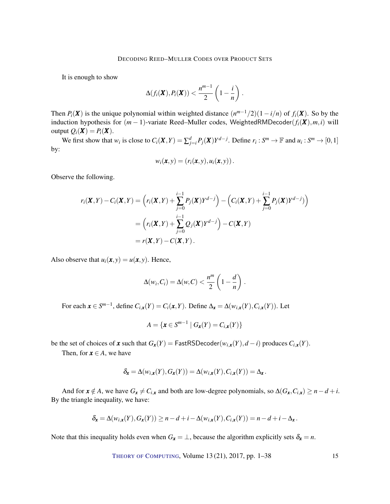It is enough to show

$$
\Delta(f_i(\boldsymbol{X}), P_i(\boldsymbol{X})) < \frac{n^{m-1}}{2}\left(1-\frac{i}{n}\right).
$$

Then  $P_i(\mathbf{X})$  is the unique polynomial within weighted distance  $(n^{m-1}/2)(1-i/n)$  of  $f_i(\mathbf{X})$ . So by the induction hypothesis for  $(m - 1)$ -variate Reed–Muller codes, WeightedRMDecoder $(f_i(\mathbf{X}), m, i)$  will output  $Q_i(\mathbf{X}) = P_i(\mathbf{X})$ .

We first show that  $w_i$  is close to  $C_i(\mathbf{X}, Y) = \sum_{j=i}^d P_j(\mathbf{X}) Y^{d-j}$ . Define  $r_i : S^m \to \mathbb{F}$  and  $u_i : S^m \to [0, 1]$ by:

$$
w_i(\boldsymbol{x},y) = (r_i(\boldsymbol{x},y),u_i(\boldsymbol{x},y))\,.
$$

Observe the following.

$$
r_i(\mathbf{X}, Y) - C_i(\mathbf{X}, Y) = \left(r_i(\mathbf{X}, Y) + \sum_{j=0}^{i-1} P_j(\mathbf{X}) Y^{d-j}\right) - \left(C_i(\mathbf{X}, Y) + \sum_{j=0}^{i-1} P_j(\mathbf{X}) Y^{d-j}\right)
$$
  
= 
$$
\left(r_i(\mathbf{X}, Y) + \sum_{j=0}^{i-1} Q_j(\mathbf{X}) Y^{d-j}\right) - C(\mathbf{X}, Y)
$$
  
= 
$$
r(\mathbf{X}, Y) - C(\mathbf{X}, Y).
$$

Also observe that  $u_i(\mathbf{x}, y) = u(\mathbf{x}, y)$ . Hence,

$$
\Delta(w_i, C_i) = \Delta(w, C) < \frac{n^m}{2} \left( 1 - \frac{d}{n} \right).
$$

For each  $\mathbf{x} \in S^{m-1}$ , define  $C_{i,\mathbf{x}}(Y) = C_i(\mathbf{x}, Y)$ . Define  $\Delta_{\mathbf{x}} = \Delta(w_{i,\mathbf{x}}(Y), C_{i,\mathbf{x}}(Y))$ . Let

$$
A = \{ \mathbf{x} \in S^{m-1} \mid G_{\mathbf{x}}(Y) = C_{i,\mathbf{x}}(Y) \}
$$

be the set of choices of *x* such that  $G_x(Y) = \text{FastRSDecoder}(w_{i,x}(Y), d - i)$  produces  $C_{i,x}(Y)$ .

Then, for  $x \in A$ , we have

$$
\delta_{\mathbf{x}} = \Delta(w_{i,\mathbf{x}}(Y), G_{\mathbf{x}}(Y)) = \Delta(w_{i,\mathbf{x}}(Y), C_{i,\mathbf{x}}(Y)) = \Delta_{\mathbf{x}}.
$$

And for  $\mathbf{x} \notin A$ , we have  $G_{\mathbf{x}} \neq C_{i,\mathbf{x}}$  and both are low-degree polynomials, so  $\Delta(G_{\mathbf{x}}, G_{i,\mathbf{x}}) \geq n - d + i$ . By the triangle inequality, we have:

$$
\delta_{\mathbf{x}} = \Delta(w_{i,\mathbf{x}}(Y), G_{\mathbf{x}}(Y)) \ge n - d + i - \Delta(w_{i,\mathbf{x}}(Y), C_{i,\mathbf{x}}(Y)) = n - d + i - \Delta_{\mathbf{x}}.
$$

Note that this inequality holds even when  $G_x = \perp$ , because the algorithm explicitly sets  $\delta_x = n$ .

THEORY OF C[OMPUTING](http://dx.doi.org/10.4086/toc), Volume 13 (21), 2017, pp. 1–38 15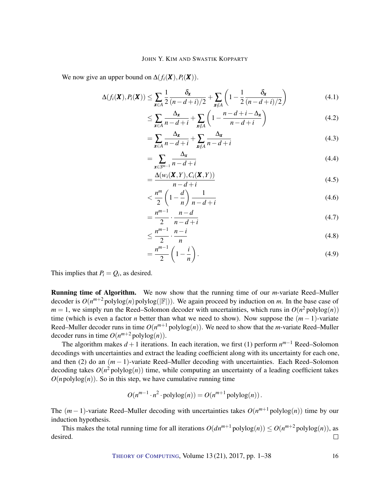We now give an upper bound on  $\Delta(f_i(\mathbf{X}), P_i(\mathbf{X})).$ 

$$
\Delta(f_i(\boldsymbol{X}), P_i(\boldsymbol{X})) \leq \sum_{\boldsymbol{x} \in A} \frac{1}{2} \frac{\delta_{\boldsymbol{x}}}{(n-d+i)/2} + \sum_{\boldsymbol{x} \notin A} \left(1 - \frac{1}{2} \frac{\delta_{\boldsymbol{x}}}{(n-d+i)/2}\right)
$$
(4.1)

$$
\leq \sum_{\mathbf{x} \in A} \frac{\Delta_{\mathbf{x}}}{n - d + i} + \sum_{\mathbf{x} \notin A} \left( 1 - \frac{n - d + i - \Delta_{\mathbf{x}}}{n - d + i} \right) \tag{4.2}
$$

$$
=\sum_{\mathbf{x}\in A} \frac{\Delta_{\mathbf{x}}}{n-d+i} + \sum_{\mathbf{x}\notin A} \frac{\Delta_{\mathbf{x}}}{n-d+i}
$$
(4.3)

$$
=\sum_{\mathbf{x}\in S^{m-1}}\frac{\Delta_{\mathbf{x}}}{n-d+i}\tag{4.4}
$$

<span id="page-15-0"></span>
$$
=\frac{\Delta(w_i(\boldsymbol{X}, Y), C_i(\boldsymbol{X}, Y))}{n-d+i}
$$
\n(4.5)

$$
\langle \frac{n^m}{2} \left( 1 - \frac{d}{n} \right) \frac{1}{n - d + i} \tag{4.6}
$$

$$
=\frac{n^{m-1}}{2}\cdot\frac{n-d}{n-d+i}\tag{4.7}
$$

$$
\leq \frac{n^{m-1}}{2} \cdot \frac{n-i}{n} \tag{4.8}
$$

$$
=\frac{n^{m-1}}{2}\left(1-\frac{i}{n}\right). \tag{4.9}
$$

This implies that  $P_i = Q_i$ , as desired.

Running time of Algorithm. We now show that the running time of our *m*-variate Reed–Muller decoder is  $O(n^{m+2} \text{polylog}(n) \text{polylog}(|\mathbb{F}|))$ . We again proceed by induction on *m*. In the base case of  $m = 1$ , we simply run the Reed–Solomon decoder with uncertainties, which runs in  $O(n^2 \text{polylog}(n))$ time (which is even a factor *n* better than what we need to show). Now suppose the (*m* − 1)-variate Reed–Muller decoder runs in time  $O(n^{m+1} \text{polylog}(n))$ . We need to show that the *m*-variate Reed–Muller decoder runs in time  $O(n^{m+2} \text{polylog}(n))$ .

The algorithm makes *d* +1 iterations. In each iteration, we first (1) perform *n <sup>m</sup>*−<sup>1</sup> Reed–Solomon decodings with uncertainties and extract the leading coefficient along with its uncertainty for each one, and then (2) do an (*m* − 1)-variate Reed–Muller decoding with uncertainties. Each Reed–Solomon decoding takes  $O(n^2 \text{polylog}(n))$  time, while computing an uncertainty of a leading coefficient takes  $O(n \text{polylog}(n))$ . So in this step, we have cumulative running time

$$
O(n^{m-1} \cdot n^2 \cdot \text{polylog}(n)) = O(n^{m+1} \text{polylog}(n)).
$$

The  $(m-1)$ -variate Reed–Muller decoding with uncertainties takes  $O(n^{m+1} \text{polylog}(n))$  time by our induction hypothesis.

This makes the total running time for all iterations  $O(dn^{m+1} \text{polylog}(n)) \leq O(n^{m+2} \text{polylog}(n))$ , as desired.  $\Box$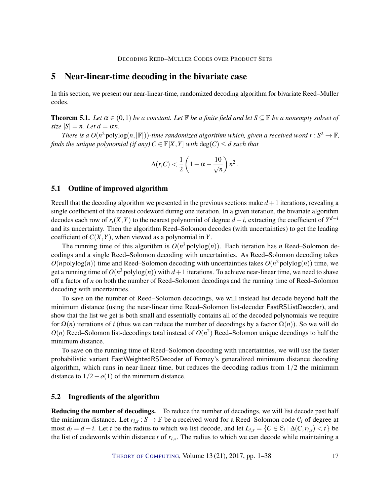# <span id="page-16-0"></span>5 Near-linear-time decoding in the bivariate case

In this section, we present our near-linear-time, randomized decoding algorithm for bivariate Reed–Muller codes.

<span id="page-16-1"></span>**Theorem 5.1.** *Let*  $\alpha \in (0,1)$  *be a constant. Let*  $\mathbb{F}$  *be a finite field and let*  $S \subseteq \mathbb{F}$  *be a nonempty subset of size*  $|S| = n$ *. Let*  $d = \alpha n$ *.* 

*There is a*  $O(n^2 \text{polylog}(n, |\mathbb{F}|))$ -time randomized algorithm which, given a received word  $r : S^2 \to \mathbb{F}$ , *finds the unique polynomial (if any)*  $C \in \mathbb{F}[X, Y]$  *with*  $\deg(C) \leq d$  *such that* 

$$
\Delta(r,C) < \frac{1}{2}\left(1-\alpha - \frac{10}{\sqrt{n}}\right)n^2.
$$

## 5.1 Outline of improved algorithm

Recall that the decoding algorithm we presented in the previous sections make  $d+1$  iterations, revealing a single coefficient of the nearest codeword during one iteration. In a given iteration, the bivariate algorithm decodes each row of  $r_i(X, Y)$  to the nearest polynomial of degree  $d - i$ , extracting the coefficient of  $Y^{d-i}$ and its uncertainty. Then the algorithm Reed–Solomon decodes (with uncertainties) to get the leading coefficient of  $C(X, Y)$ , when viewed as a polynomial in *Y*.

The running time of this algorithm is  $O(n^3 \text{polylog}(n))$ . Each iteration has *n* Reed–Solomon decodings and a single Reed–Solomon decoding with uncertainties. As Reed–Solomon decoding takes  $O(n \text{polylog}(n))$  time and Reed–Solomon decoding with uncertainties takes  $O(n^2 \text{polylog}(n))$  time, we get a running time of  $O(n^3 \text{polylog}(n))$  with  $d+1$  iterations. To achieve near-linear time, we need to shave off a factor of *n* on both the number of Reed–Solomon decodings and the running time of Reed–Solomon decoding with uncertainties.

To save on the number of Reed–Solomon decodings, we will instead list decode beyond half the minimum distance (using the near-linear time Reed–Solomon list-decoder FastRSListDecoder), and show that the list we get is both small and essentially contains all of the decoded polynomials we require for  $\Omega(n)$  iterations of *i* (thus we can reduce the number of decodings by a factor  $\Omega(n)$ ). So we will do  $O(n)$  Reed–Solomon list-decodings total instead of  $O(n^2)$  Reed–Solomon unique decodings to half the minimum distance.

To save on the running time of Reed–Solomon decoding with uncertainties, we will use the faster probabilistic variant FastWeightedRSDecoder of Forney's generalized minimum distance decoding algorithm, which runs in near-linear time, but reduces the decoding radius from  $1/2$  the minimum distance to  $1/2 - o(1)$  of the minimum distance.

## 5.2 Ingredients of the algorithm

Reducing the number of decodings. To reduce the number of decodings, we will list decode past half the minimum distance. Let  $r_{i,x}: S \to \mathbb{F}$  be a received word for a Reed–Solomon code  $\mathcal{C}_i$  of degree at most  $d_i = d - i$ . Let *t* be the radius to which we list decode, and let  $L_{i,x} = \{C \in \mathcal{C}_i \mid \Delta(C, r_{i,x}) < t\}$  be the list of codewords within distance  $t$  of  $r_{i,x}$ . The radius to which we can decode while maintaining a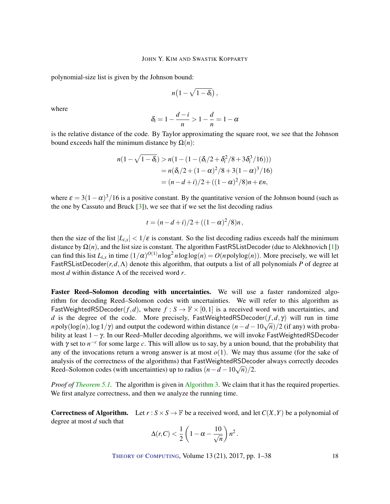<span id="page-17-0"></span>polynomial-size list is given by the Johnson bound:

$$
n\big(1-\sqrt{1-\delta_i}\big)\,,
$$

where

$$
\delta_i=1-\frac{d-i}{n}>1-\frac{d}{n}=1-\alpha
$$

is the relative distance of the code. By Taylor approximating the square root, we see that the Johnson bound exceeds half the minimum distance by  $Ω(n)$ :

$$
n(1 - \sqrt{1 - \delta_i}) > n(1 - (1 - (\delta_i/2 + \delta_i^2/8 + 3\delta_i^3/16)))
$$
  
=  $n(\delta_i/2 + (1 - \alpha)^2/8 + 3(1 - \alpha)^3/16)$   
=  $(n - d + i)/2 + ((1 - \alpha)^2/8)n + \epsilon n$ ,

where  $\varepsilon = 3(1 - \alpha)^3/16$  is a positive constant. By the quantitative version of the Johnson bound (such as the one by Cassuto and Bruck  $[3]$ , we see that if we set the list decoding radius

$$
t = (n - d + i)/2 + ((1 - \alpha)^2/8)n,
$$

then the size of the list  $|L_{i,x}| < 1/\varepsilon$  is constant. So the list decoding radius exceeds half the minimum distance by Ω(*n*), and the list size is constant. The algorithm FastRSListDecoder (due to Alekhnovich [\[1\]](#page-35-8)) can find this list  $L_{i,x}$  in time  $(1/\alpha)^{O(1)}n\log^2 n\log\log(n) = O(np\log\log(n))$ . More precisely, we will let FastRSListDecoder(*r*,*d*,Λ) denote this algorithm, that outputs a list of all polynomials *P* of degree at most *d* within distance Λ of the received word *r*.

Faster Reed–Solomon decoding with uncertainties. We will use a faster randomized algorithm for decoding Reed–Solomon codes with uncertainties. We will refer to this algorithm as FastWeightedRSDecoder( $f, d$ ), where  $f : S \to \mathbb{F} \times [0, 1]$  is a received word with uncertainties, and *d* is the degree of the code. More precisely, FastWeightedRSDecoder( $f$ , $d$ , $\gamma$ ) will run in time *n* poly(log(*n*),log 1/γ) and output the codeword within distance  $(n - d - 10\sqrt{n})/2$  (if any) with probability at least  $1-\gamma$ . In our Reed–Muller decoding algorithms, we will invoke FastWeightedRSDecoder with  $\gamma$  set to  $n^{-c}$  for some large *c*. This will allow us to say, by a union bound, that the probability that any of the invocations return a wrong answer is at most  $o(1)$ . We may thus assume (for the sake of analysis of the correctness of the algorithms) that FastWeightedRSDecoder always correctly decodes Reed–Solomon codes (with uncertainties) up to radius  $(n - d - 10\sqrt{n})/2$ .

*Proof of [Theorem](#page-16-1) [5.1.](#page-16-1)* The algorithm is given in [Algorithm](#page-18-0) [3.](#page-18-0) We claim that it has the required properties. We first analyze correctness, and then we analyze the running time.

**Correctness of Algorithm.** Let  $r : S \times S \to \mathbb{F}$  be a received word, and let  $C(X, Y)$  be a polynomial of degree at most *d* such that

$$
\Delta(r,C) < \frac{1}{2}\left(1-\alpha - \frac{10}{\sqrt{n}}\right)n^2.
$$

THEORY OF C[OMPUTING](http://dx.doi.org/10.4086/toc), Volume 13 (21), 2017, pp. 1–38 18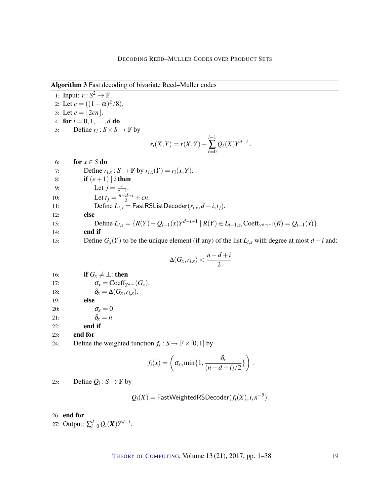Algorithm 3 Fast decoding of bivariate Reed–Muller codes

<span id="page-18-0"></span>1: Input:  $r : S^2 \to \mathbb{F}$ . 2: Let  $c = ((1 - \alpha)^2/8)$ . 3: Let  $e = |2cn|$ . 4: for  $i = 0, 1, ..., d$  do 5: Define  $r_i$ :  $S \times S \rightarrow \mathbb{F}$  by  $r_i(X,Y) = r(X,Y)$ *i*−1  $\sum_{\ell=0}$  $Q_{\ell}(X)Y^{d-\ell}$ . 6: **for**  $x \in S$  do 7: Define  $r_{i,x}: S \to \mathbb{F}$  by  $r_{i,x}(Y) = r_i(x, Y)$ . 8: **if**  $(e+1) | i$  then 9: Let  $j = \frac{i}{e^+}$  $\frac{l}{e+1}$ . 10: Let  $t_j = \frac{n-d+i}{2} + cn$ . 11: Define  $L_{i,x} = \text{FastRSListDecoder}(r_{i,x}, d-i,t_j).$ 12: else 13: Define  $L_{i,x} = \{R(Y) - Q_{i-1}(x)Y^{d-i+1} | R(Y) \in L_{i-1,x}, \text{Coeff}_{Y^{d-i+1}}(R) = Q_{i-1}(x)\}.$ 14: end if 15: Define  $G_x(Y)$  to be the unique element (if any) of the list  $L_{i,x}$  with degree at most  $d - i$  and:  $\Delta(G_x, r_{i,x}) < \frac{n-d+i}{2}$ 2

16: **if**  $G_x \neq \perp$ : **then** 17:  $\sigma_x = \text{Coeff}_{Y^{d-i}}(G_x).$ 18:  $\delta_x = \Delta(G_x, r_{i,x}).$ 19: else 20:  $\sigma_x = 0$ 

21:  $\delta_x = n$ 

22: end if

23: end for

24: Define the weighted function  $f_i : S \to \mathbb{F} \times [0,1]$  by

$$
f_i(x) = \left(\sigma_x, \min\{1, \frac{\delta_x}{(n-d+i)/2}\}\right).
$$

25: Define  $Q_i : S \to \mathbb{F}$  by

 $Q_i(X) = {\sf FastWeightedRSDecoder}(f_i(X), i, n^{-5})$  .

26: end for

27: Output:  $\sum_{i=0}^{d} Q_i(\mathbf{X}) Y^{d-i}$ .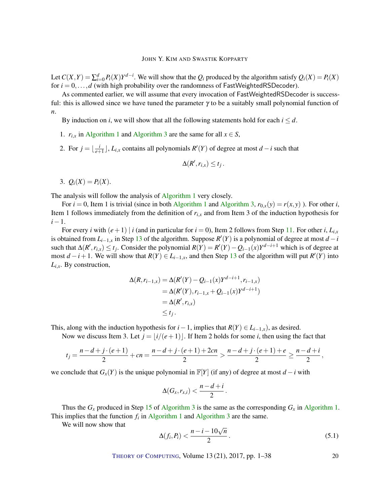Let  $C(X,Y) = \sum_{i=0}^{d} P_i(X)Y^{d-i}$ . We will show that the  $Q_i$  produced by the algorithm satisfy  $Q_i(X) = P_i(X)$ for  $i = 0, \ldots, d$  (with high probability over the randomness of FastWeightedRSDecoder).

As commented earlier, we will assume that every invocation of FastWeightedRSDecoder is successful: this is allowed since we have tuned the parameter  $\gamma$  to be a suitably small polynomial function of *n*.

By induction on *i*, we will show that all the following statements hold for each  $i \leq d$ .

- [1](#page-9-0).  $r_{i,x}$  in [Algorithm](#page-18-0) 1 and Algorithm [3](#page-18-0) are the same for all  $x \in S$ ,
- 2. For  $j = \frac{i}{e^{\frac{i}{2}}}$  $\frac{i}{e+1}$ , *L*<sub>*i*,*x*</sub> contains all polynomials *R*<sup>'</sup>(*Y*) of degree at most *d* − *i* such that

$$
\Delta(R', r_{i,x}) \leq t_j.
$$

3.  $Q_i(X) = P_i(X)$ .

The analysis will follow the analysis of [Algorithm](#page-9-0) [1](#page-9-0) very closely.

For  $i = 0$ , Item 1 is trivial (since in both [Algorithm](#page-18-0) [1](#page-9-0) and Algorithm [3,](#page-18-0)  $r_{0,x}(y) = r(x, y)$ ). For other *i*, Item 1 follows immediately from the definition of  $r_{i,x}$  and from Item 3 of the induction hypothesis for *i*−1.

For every *i* with  $(e+1) | i$  (and in particular for  $i = 0$ ), Item 2 follows from Step [11.](#page-18-0) For other *i*,  $L_{i,x}$ is obtained from  $L_{i-1,x}$  in Step [13](#page-18-0) of the algorithm. Suppose  $R'(Y)$  is a polynomial of degree at most  $d-i$ such that  $\Delta(R', r_{i,x}) \le t_j$ . Consider the polynomial  $R(Y) = R'(Y) - Q_{i-1}(x)Y^{d-i+1}$  which is of degree at most  $d - i + 1$ . We will show that  $R(Y) \in L_{i-1,x}$ , and then Step [13](#page-18-0) of the algorithm will put  $R'(Y)$  into *Li*,*x*. By construction,

$$
\Delta(R, r_{i-1,x}) = \Delta(R'(Y) - Q_{i-1}(x)Y^{d-i+1}, r_{i-1,x})
$$
  
=  $\Delta(R'(Y), r_{i-1,x} + Q_{i-1}(x)Y^{d-i+1})$   
=  $\Delta(R', r_{i,x})$   
 $\leq t_j.$ 

This, along with the induction hypothesis for  $i-1$ , implies that  $R(Y) \in L_{i-1,x}$ , as desired.

Now we discuss Item 3. Let  $j = |i/(e+1)|$ . If Item 2 holds for some *i*, then using the fact that

$$
t_j = \frac{n-d+j\cdot(e+1)}{2} + cn = \frac{n-d+j\cdot(e+1)+2cn}{2} > \frac{n-d+j\cdot(e+1)+e}{2} \ge \frac{n-d+i}{2},
$$

we conclude that  $G_x(Y)$  is the unique polynomial in  $\mathbb{F}[Y]$  (if any) of degree at most  $d - i$  with

$$
\Delta(G_x,r_{x,i})<\frac{n-d+i}{2}.
$$

Thus the  $G_x$  produced in Step [15](#page-18-0) of [Algorithm](#page-9-0) [3](#page-18-0) is the same as the corresponding  $G_x$  in Algorithm [1.](#page-9-0) This implies that the function  $f_i$  in [Algorithm](#page-18-0) [1](#page-9-0) and Algorithm [3](#page-18-0) are the same.

We will now show that

<span id="page-19-0"></span>
$$
\Delta(f_i, P_i) < \frac{n - i - 10\sqrt{n}}{2} \tag{5.1}
$$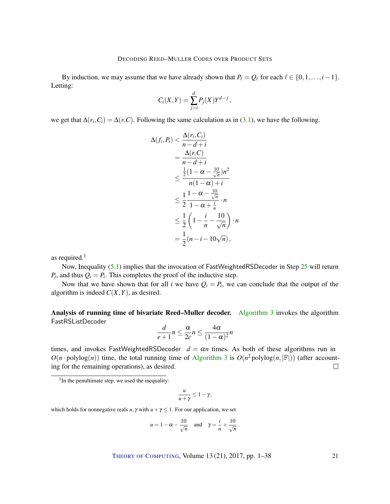By induction, we may assume that we have already shown that  $P_\ell = Q_\ell$  for each  $\ell \in \{0,1,\ldots,i-1\}$ . Letting:

$$
C_i(X,Y) = \sum_{j=i}^d P_j(X)Y^{d-j},
$$

we get that  $\Delta(r_i, C_i) = \Delta(r, C)$ . Following the same calculation as in [\(3.1\)](#page-11-1), we have the following.

$$
\Delta(f_i, P_i) < \frac{\Delta(r_i, C_i)}{n - d + i}
$$
\n
$$
= \frac{\Delta(r, C)}{n - d + i}
$$
\n
$$
\leq \frac{\frac{1}{2}(1 - \alpha - \frac{10}{\sqrt{n}})n^2}{n(1 - \alpha) + i}
$$
\n
$$
\leq \frac{1}{2}\frac{1 - \alpha - \frac{10}{\sqrt{n}}}{1 - \alpha + \frac{i}{n}} \cdot n
$$
\n
$$
\leq \frac{1}{2}\left(1 - \frac{i}{n} - \frac{10}{\sqrt{n}}\right) \cdot n
$$
\n
$$
= \frac{1}{2}(n - i - 10\sqrt{n}),
$$

as required. $<sup>1</sup>$ </sup>

Now, Inequality [\(5.1\)](#page-19-0) implies that the invocation of FastWeightedRSDecoder in Step [25](#page-18-0) will return  $P_i$ , and thus  $Q_i = P_i$ . This completes the proof of the inductive step.

Now that we have shown that for all *i* we have  $Q_i = P_i$ , we can conclude that the output of the algorithm is indeed  $C(X, Y)$ , as desired.

Analysis of running time of bivariate Reed–Muller decoder. [Algorithm](#page-18-0) [3](#page-18-0) invokes the algorithm FastRSListDecoder

$$
\frac{d}{e+1}n \le \frac{\alpha}{2c}n \le \frac{4\alpha}{(1-\alpha)^2}n
$$

times, and invokes FastWeightedRSDecoder  $d = \alpha n$  times. As both of these algorithms run in  $O(n \cdot \text{polylog}(n))$  time, the total running time of [Algorithm](#page-18-0) [3](#page-18-0) is  $O(n^2 \text{polylog}(n, |\mathbb{F}|))$  (after accounting for the remaining operations), as desired.  $\Box$ 

$$
\frac{u}{u+\gamma}\leq 1-\gamma,
$$

which holds for nonnegative reals *u*,  $\gamma$  with  $u + \gamma \leq 1$ . For our application, we set

$$
u = 1 - \alpha - \frac{10}{\sqrt{n}}
$$
 and  $\gamma = \frac{i}{n} + \frac{10}{\sqrt{n}}$ 

.

<sup>&</sup>lt;sup>1</sup>In the penultimate step, we used the inequality: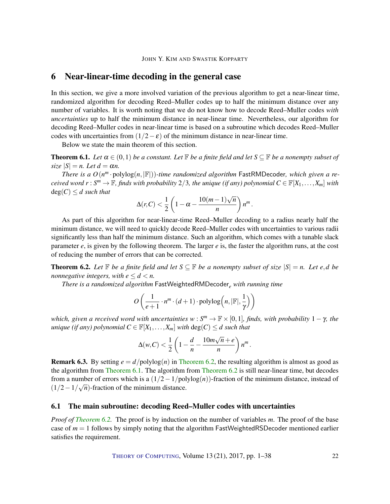# <span id="page-21-0"></span>6 Near-linear-time decoding in the general case

In this section, we give a more involved variation of the previous algorithm to get a near-linear time, randomized algorithm for decoding Reed–Muller codes up to half the minimum distance over any number of variables. It is worth noting that we do not know how to decode Reed–Muller codes *with uncertainties* up to half the minimum distance in near-linear time. Nevertheless, our algorithm for decoding Reed–Muller codes in near-linear time is based on a subroutine which decodes Reed–Muller codes with uncertainties from  $(1/2 - \varepsilon)$  of the minimum distance in near-linear time.

Below we state the main theorem of this section.

<span id="page-21-2"></span>**Theorem 6.1.** *Let*  $\alpha \in (0,1)$  *be a constant. Let*  $\mathbb{F}$  *be a finite field and let*  $S \subseteq \mathbb{F}$  *be a nonempty subset of*  $size |S| = n$ . Let  $d = \alpha n$ .

*There is a*  $O(n^m \cdot \text{polylog}(n, |\mathbb{F}|))$ -time randomized algorithm FastRMDecoder, which given a re*ceived word*  $r: S^m \to \mathbb{F}$ , finds with probability 2/3, the unique (if any) polynomial  $C \in \mathbb{F}[X_1,\ldots,X_m]$  with  $deg(C) \leq d$  *such that* √

$$
\Delta(r,C) < \frac{1}{2}\left(1-\alpha - \frac{10(m-1)\sqrt{n}}{n}\right)n^m.
$$

As part of this algorithm for near-linear-time Reed–Muller decoding to a radius nearly half the minimum distance, we will need to quickly decode Reed–Muller codes with uncertainties to various radii significantly less than half the minimum distance. Such an algorithm, which comes with a tunable slack parameter *e*, is given by the following theorem. The larger *e* is, the faster the algorithm runs, at the cost of reducing the number of errors that can be corrected.

<span id="page-21-1"></span>**Theorem 6.2.** Let  $\mathbb{F}$  be a finite field and let  $S \subseteq \mathbb{F}$  be a nonempty subset of size  $|S| = n$ . Let e,d be *nonnegative integers, with*  $e \leq d \leq n$ *.* 

*There is a randomized algorithm* FastWeightedRMDecoder*<sup>e</sup> with running time*

$$
O\left(\frac{1}{e+1} \cdot n^m \cdot (d+1) \cdot \text{polylog}\left(n, |\mathbb{F}|, \frac{1}{\gamma}\right)\right)
$$

*which, given a received word with uncertainties*  $w : S^m \to \mathbb{F} \times [0,1]$ *, finds, with probability*  $1 - \gamma$ *, the unique (if any) polynomial*  $C \in \mathbb{F}[X_1, \ldots, X_m]$  *with*  $\text{deg}(C) \leq d$  *such that* 

$$
\Delta(w, C) < \frac{1}{2} \left( 1 - \frac{d}{n} - \frac{10m\sqrt{n} + e}{n} \right) n^m.
$$

**Remark 6.3.** By setting  $e = d/\text{polylog}(n)$  in [Theorem](#page-21-1) [6.2,](#page-21-1) the resulting algorithm is almost as good as the algorithm from [Theorem](#page-21-2) [6.1.](#page-21-2) The algorithm from [Theorem](#page-21-1) [6.2](#page-21-1) is still near-linear time, but decodes from a number of errors which is a  $(1/2 - 1/\text{polylog}(n))$ -fraction of the minimum distance, instead of  $\left(\frac{1}{2}-\frac{1}{\sqrt{n}}\right)$ -fraction of the minimum distance.

## 6.1 The main subroutine: decoding Reed–Muller codes with uncertainties

*Proof of [Theorem](#page-21-1) [6.2.](#page-21-1)* The proof is by induction on the number of variables *m*. The proof of the base case of  $m = 1$  follows by simply noting that the algorithm FastWeightedRSDecoder mentioned earlier satisfies the requirement.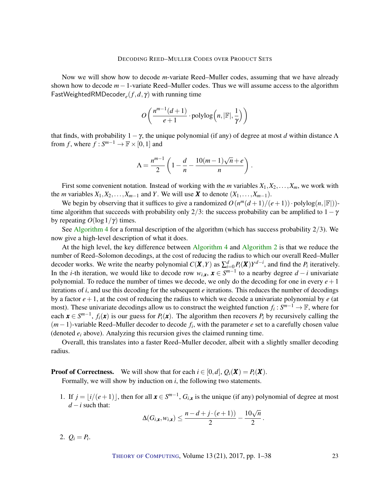Now we will show how to decode *m*-variate Reed–Muller codes, assuming that we have already shown how to decode *m*−1-variate Reed–Muller codes. Thus we will assume access to the algorithm FastWeightedRMDecoder*<sup>e</sup>* (*f*,*d*, γ) with running time

$$
O\left(\frac{n^{m-1}(d+1)}{e+1}\cdot \text{polylog}\left(n, |\mathbb{F}|, \frac{1}{\gamma}\right)\right)
$$

that finds, with probability  $1 - \gamma$ , the unique polynomial (if any) of degree at most *d* within distance  $\Lambda$ from *f*, where  $f : S^{m-1} \to \mathbb{F} \times [0,1]$  and

$$
\Lambda = \frac{n^{m-1}}{2} \left( 1 - \frac{d}{n} - \frac{10(m-1)\sqrt{n} + e}{n} \right).
$$

First some convenient notation. Instead of working with the *m* variables  $X_1, X_2, \ldots, X_m$ , we work with the *m* variables  $X_1, X_2, \ldots, X_{m-1}$  and *Y*. We will use *X* to denote  $(X_1, \ldots, X_{m-1})$ .

We begin by observing that it suffices to give a randomized  $O(n^m(d+1)/(e+1)) \cdot \text{polylog}(n, |\mathbb{F}|))$ time algorithm that succeeds with probability only 2/3: the success probability can be amplified to  $1-\gamma$ by repeating  $O(\log 1/\gamma)$  times.

See [Algorithm](#page-23-0) [4](#page-23-0) for a formal description of the algorithm (which has success probability  $2/3$ ). We now give a high-level description of what it does.

At the high level, the key difference between [Algorithm](#page-23-0) [4](#page-23-0) and [Algorithm](#page-13-0) [2](#page-13-0) is that we reduce the number of Reed–Solomon decodings, at the cost of reducing the radius to which our overall Reed–Muller decoder works. We write the nearby polynomial  $C(X,Y)$  as  $\sum_{i=0}^{d} P_i(X)Y^{d-i}$ , and find the  $P_i$  iteratively. In the *i*-th iteration, we would like to decode row  $w_{i,x}$ ,  $x \in S^{m-1}$  to a nearby degree  $d - i$  univariate polynomial. To reduce the number of times we decode, we only do the decoding for one in every  $e+1$ iterations of *i*, and use this decoding for the subsequent *e* iterations. This reduces the number of decodings by a factor  $e+1$ , at the cost of reducing the radius to which we decode a univariate polynomial by  $e$  (at most). These univariate decodings allow us to construct the weighted function  $f_i: S^{m-1} \to \mathbb{F}$ , where for each  $\mathbf{x} \in S^{m-1}$ ,  $f_i(\mathbf{x})$  is our guess for  $P_i(\mathbf{x})$ . The algorithm then recovers  $P_i$  by recursively calling the (*m*−1)-variable Reed–Muller decoder to decode *f<sup>i</sup>* , with the parameter *e* set to a carefully chosen value (denoted *e<sup>i</sup>* above). Analyzing this recursion gives the claimed running time.

Overall, this translates into a faster Reed–Muller decoder, albeit with a slightly smaller decoding radius.

**Proof of Correctness.** We will show that for each  $i \in [0,d]$ ,  $Q_i(\mathbf{X}) = P_i(\mathbf{X})$ .

Formally, we will show by induction on *i*, the following two statements.

1. If  $j = \lfloor i/(e+1) \rfloor$ , then for all  $\mathbf{x} \in S^{m-1}$ ,  $G_{i,\mathbf{x}}$  is the unique (if any) polynomial of degree at most  $d - i$  such that:

$$
\Delta(G_{i,\mathbf{x}}, w_{i,\mathbf{x}}) \le \frac{n-d+j\cdot(e+1))}{2} - \frac{10\sqrt{n}}{2}
$$

.

2.  $Q_i = P_i$ .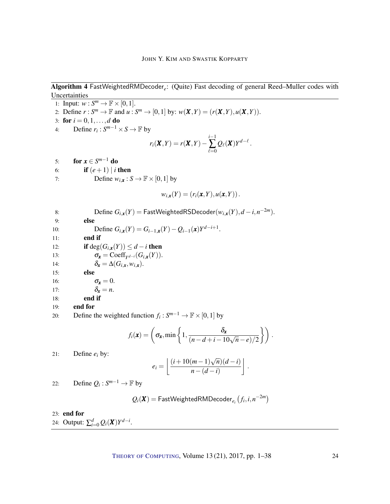Algorithm 4 FastWeightedRMDecoder*<sup>e</sup>* : (Quite) Fast decoding of general Reed–Muller codes with Uncertainties

<span id="page-23-0"></span>1: Input:  $w: S^m \to \mathbb{F} \times [0,1].$ 2: Define  $r: S^m \to \mathbb{F}$  and  $u: S^m \to [0,1]$  by:  $w(\mathbf{X}, Y) = (r(\mathbf{X}, Y), u(\mathbf{X}, Y)).$ 3: for  $i = 0, 1, ..., d$  do 4: Define  $r_i: S^{m-1} \times S \to \mathbb{F}$  by  $r_i(X,Y) = r(X,Y)$ *i*−1  $\sum_{\ell=0}$  $Q_{\ell}(\boldsymbol{X})Y^{d-\ell}$ . 5: **for**  $x \in S^{m-1}$  do 6: **if**  $(e+1) | i$  then 7: Define  $w_{i,x}: S \to \mathbb{F} \times [0,1]$  by  $w_{i,x}(Y) = (r_i(x, Y), u(x, Y)).$ 8: Define  $G_{i,x}(Y) = \text{FastWeightedRSDecoder}(w_{i,x}(Y), d - i, n^{-2m}).$ 9: else 10: Define  $G_{i,x}(Y) = G_{i-1,x}(Y) - Q_{i-1}(x)Y^{d-i+1}$ . 11: end if 12: **if** deg( $G_{i,x}(Y)$ )  $\leq d - i$  then 13:  $\sigma_{\mathbf{x}} = \text{Coeff}_{Y^{d-i}}(G_{i,\mathbf{x}}(Y)).$ 14:  $\delta_{\mathbf{x}} = \Delta(G_{i,\mathbf{x}}, w_{i,\mathbf{x}}).$ 15: else 16:  $\sigma_x = 0$ . 17:  $\delta_x = n$ . 18: end if 19: end for 20: Define the weighted function  $f_i: S^{m-1} \to \mathbb{F} \times [0,1]$  by

$$
f_i(\mathbf{x}) = \left(\sigma_{\mathbf{x}}, \min\left\{1, \frac{\delta_{\mathbf{x}}}{(n-d+i-10\sqrt{n}-e)/2}\right\}\right).
$$

21: Define 
$$
e_i
$$
 by:

$$
e_i = \left\lfloor \frac{(i+10(m-1)\sqrt{n})(d-i)}{n-(d-i)} \right\rfloor.
$$

22: Define  $Q_i: S^{m-1} \to \mathbb{F}$  by

$$
Q_i(\pmb{X}) = \textsf{FastWeightedRMDecoder}_{e_i}\left(f_i, i, n^{-2m}\right)
$$

23: end for

24: Output:  $\sum_{i=0}^{d} Q_i(\mathbf{X}) Y^{d-i}$ .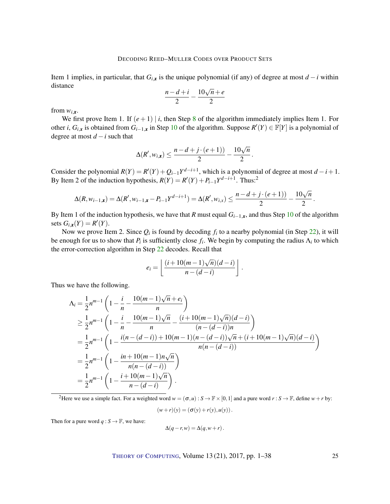Item 1 implies, in particular, that  $G_i$ <sub>*x*</sub> is the unique polynomial (if any) of degree at most *d* − *i* within distance

$$
\frac{n-d+i}{2} - \frac{10\sqrt{n} + e}{2}
$$

from  $w_{i,x}$ .

We first prove Item 1. If  $(e+1)$  | *i*, then Step [8](#page-23-0) of the algorithm immediately implies Item 1. For other *i*,  $G_{i,x}$  is obtained from  $G_{i-1,x}$  in Step [10](#page-23-0) of the algorithm. Suppose  $R'(Y) \in \mathbb{F}[Y]$  is a polynomial of degree at most  $d - i$  such that

$$
\Delta(R', w_{i,x}) \leq \frac{n-d+j\cdot(e+1))}{2} - \frac{10\sqrt{n}}{2}.
$$

Consider the polynomial  $R(Y) = R'(Y) + Q_{i-1}Y^{d-i+1}$ , which is a polynomial of degree at most  $d - i + 1$ . By Item 2 of the induction hypothesis,  $R(Y) = R'(Y) + P_{i-1}Y^{d-i+1}$ . Thus:<sup>2</sup>

$$
\Delta(R, w_{i-1,x}) = \Delta(R', w_{i-1,x} - P_{i-1}Y^{d-i+1}) = \Delta(R', w_{i,x}) \le \frac{n-d+j \cdot (e+1))}{2} - \frac{10\sqrt{n}}{2}.
$$

By Item 1 of the induction hypothesis, we have that *R* must equal  $G_{i-1,x}$ , and thus Step [10](#page-23-0) of the algorithm sets  $G_{i,x}(Y) = R'(Y)$ .

Now we prove Item 2. Since  $Q_i$  is found by decoding  $f_i$  to a nearby polynomial (in Step [22\)](#page-23-0), it will be enough for us to show that  $P_i$  is sufficiently close  $f_i$ . We begin by computing the radius  $\Lambda_i$  to which the error-correction algorithm in Step [22](#page-23-0) decodes. Recall that

$$
e_i = \left\lfloor \frac{(i+10(m-1)\sqrt{n})(d-i)}{n-(d-i)} \right\rfloor.
$$

Thus we have the following.

$$
\begin{split}\n\Lambda_i &= \frac{1}{2} n^{m-1} \left( 1 - \frac{i}{n} - \frac{10(m-1)\sqrt{n} + e_i}{n} \right) \\
&\ge \frac{1}{2} n^{m-1} \left( 1 - \frac{i}{n} - \frac{10(m-1)\sqrt{n}}{n} - \frac{(i+10(m-1)\sqrt{n})(d-i)}{(n-(d-i))n} \right) \\
&= \frac{1}{2} n^{m-1} \left( 1 - \frac{i(n-(d-i)) + 10(m-1)(n-(d-i))\sqrt{n} + (i+10(m-1)\sqrt{n})(d-i)}{n(n-(d-i))} \right) \\
&= \frac{1}{2} n^{m-1} \left( 1 - \frac{in+10(m-1)n\sqrt{n}}{n(n-(d-i))} \right) \\
&= \frac{1}{2} n^{m-1} \left( 1 - \frac{i+10(m-1)\sqrt{n}}{n-(d-i)} \right).\n\end{split}
$$

<sup>2</sup>Here we use a simple fact. For a weighted word  $w = (\sigma, u) : S \to \mathbb{F} \times [0, 1]$  and a pure word  $r : S \to \mathbb{F}$ , define  $w + r$  by:

$$
(w+r)(y) = (\sigma(y) + r(y), u(y)).
$$

Then for a pure word  $q : S \to \mathbb{F}$ , we have:

$$
\Delta(q-r,w) = \Delta(q, w+r).
$$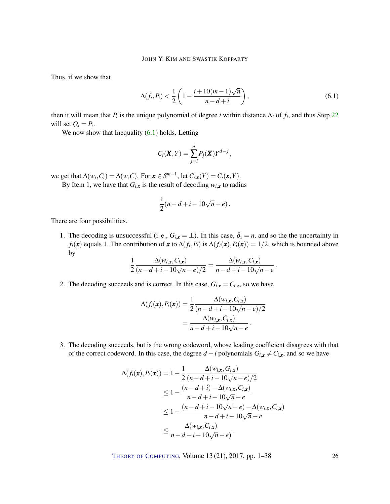Thus, if we show that

$$
\Delta(f_i, P_i) < \frac{1}{2} \left( 1 - \frac{i + 10(m - 1)\sqrt{n}}{n - d + i} \right),\tag{6.1}
$$

then it will mean that  $P_i$  is the unique polynomial of degree *i* within distance  $\Lambda_i$  of  $f_i$ , and thus Step [22](#page-23-0) will set  $Q_i = P_i$ .

We now show that Inequality  $(6.1)$  holds. Letting

<span id="page-25-0"></span>
$$
C_i(\mathbf{X}, Y) = \sum_{j=i}^d P_j(\mathbf{X}) Y^{d-j},
$$

we get that  $\Delta(w_i, C_i) = \Delta(w, C)$ . For  $\mathbf{x} \in S^{m-1}$ , let  $C_{i,\mathbf{x}}(Y) = C_i(\mathbf{x}, Y)$ .

By Item 1, we have that  $G_{i,x}$  is the result of decoding  $w_{i,x}$  to radius

$$
\frac{1}{2}(n-d+i-10\sqrt{n}-e).
$$

There are four possibilities.

1. The decoding is unsuccessful (i. e.,  $G_{i,x} = \perp$ ). In this case,  $\delta_x = n$ , and so the the uncertainty in *f*<sub>*i*</sub>(*x*) equals 1. The contribution of *x* to ∆(*f*<sub>*i*</sub>,*P*<sub>*i*</sub>) is ∆(*f*<sub>*i*</sub>(*x*)) = 1/2, which is bounded above by

$$
\frac{1}{2} \frac{\Delta(w_{i,\mathbf{x}}, C_{i,\mathbf{x}})}{(n-d+i-10\sqrt{n}-e)/2} = \frac{\Delta(w_{i,\mathbf{x}}, C_{i,\mathbf{x}})}{n-d+i-10\sqrt{n}-e}.
$$

2. The decoding succeeds and is correct. In this case,  $G_{i,x} = C_{i,x}$ , so we have

$$
\Delta(f_i(\mathbf{x}), P_i(\mathbf{x})) = \frac{1}{2} \frac{\Delta(w_{i,\mathbf{x}}, C_{i,\mathbf{x}})}{(n - d + i - 10\sqrt{n} - e)/2}
$$

$$
= \frac{\Delta(w_{i,\mathbf{x}}, C_{i,\mathbf{x}})}{n - d + i - 10\sqrt{n} - e}.
$$

3. The decoding succeeds, but is the wrong codeword, whose leading coefficient disagrees with that of the correct codeword. In this case, the degree  $d - i$  polynomials  $G_{i,x} \neq C_{i,x}$ , and so we have

$$
\Delta(f_i(\mathbf{x}), P_i(\mathbf{x})) = 1 - \frac{1}{2} \frac{\Delta(w_{i,\mathbf{x}}, G_{i,\mathbf{x}})}{(n - d + i - 10\sqrt{n} - e)/2}
$$
  
\n
$$
\leq 1 - \frac{(n - d + i) - \Delta(w_{i,\mathbf{x}}, C_{i,\mathbf{x}})}{n - d + i - 10\sqrt{n} - e}
$$
  
\n
$$
\leq 1 - \frac{(n - d + i - 10\sqrt{n} - e) - \Delta(w_{i,\mathbf{x}}, C_{i,\mathbf{x}})}{n - d + i - 10\sqrt{n} - e}
$$
  
\n
$$
\leq \frac{\Delta(w_{i,\mathbf{x}}, C_{i,\mathbf{x}})}{n - d + i - 10\sqrt{n} - e}.
$$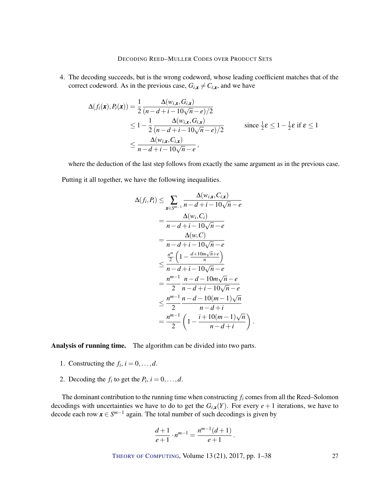4. The decoding succeeds, but is the wrong codeword, whose leading coefficient matches that of the correct codeword. As in the previous case,  $G_{i,x} \neq C_{i,x}$ , and we have

$$
\Delta(f_i(\mathbf{x}), P_i(\mathbf{x})) = \frac{1}{2} \frac{\Delta(w_{i,\mathbf{x}}, G_{i,\mathbf{x}})}{(n - d + i - 10\sqrt{n} - e)/2}
$$
\n
$$
\leq 1 - \frac{1}{2} \frac{\Delta(w_{i,\mathbf{x}}, G_{i,\mathbf{x}})}{(n - d + i - 10\sqrt{n} - e)/2} \qquad \text{since } \frac{1}{2}\varepsilon \leq 1 - \frac{1}{2}\varepsilon \text{ if } \varepsilon \leq 1
$$
\n
$$
\leq \frac{\Delta(w_{i,\mathbf{x}}, C_{i,\mathbf{x}})}{n - d + i - 10\sqrt{n} - e},
$$

where the deduction of the last step follows from exactly the same argument as in the previous case.

Putting it all together, we have the following inequalities.

$$
\Delta(f_i, P_i) \leq \sum_{\mathbf{x} \in S^{m-1}} \frac{\Delta(w_{i,\mathbf{x}}, C_{i,\mathbf{x}})}{n - d + i - 10\sqrt{n} - e}
$$
  
= 
$$
\frac{\Delta(w_i, C_i)}{n - d + i - 10\sqrt{n} - e}
$$
  
= 
$$
\frac{\Delta(w, C)}{n - d + i - 10\sqrt{n} - e}
$$
  

$$
\leq \frac{\frac{n^m}{2} \left(1 - \frac{d + 10m\sqrt{n} + e}{n}\right)}{n - d + i - 10\sqrt{n} - e}
$$
  
= 
$$
\frac{n^{m-1}}{2} \frac{n - d - 10m\sqrt{n} - e}{n - d + i - 10\sqrt{n} - e}
$$
  

$$
\leq \frac{n^{m-1}}{2} \frac{n - d - 10(m - 1)\sqrt{n}}{n - d + i}
$$
  
= 
$$
\frac{n^{m-1}}{2} \left(1 - \frac{i + 10(m - 1)\sqrt{n}}{n - d + i}\right)
$$

.

Analysis of running time. The algorithm can be divided into two parts.

- 1. Constructing the  $f_i$ ,  $i = 0, \ldots, d$ .
- 2. Decoding the  $f_i$  to get the  $P_i$ ,  $i = 0, \ldots, d$ .

The dominant contribution to the running time when constructing *f<sup>i</sup>* comes from all the Reed–Solomon decodings with uncertainties we have to do to get the  $G_{i,x}(Y)$ . For every  $e + 1$  iterations, we have to decode each row  $x \in S^{m-1}$  again. The total number of such decodings is given by

$$
\frac{d+1}{e+1} \cdot n^{m-1} = \frac{n^{m-1}(d+1)}{e+1}.
$$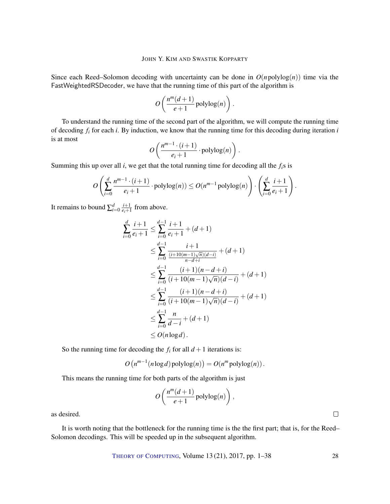Since each Reed–Solomon decoding with uncertainty can be done in  $O(n \text{polylog}(n))$  time via the FastWeightedRSDecoder, we have that the running time of this part of the algorithm is

$$
O\left(\frac{n^m(d+1)}{e+1}\operatorname{polylog}(n)\right).
$$

To understand the running time of the second part of the algorithm, we will compute the running time of decoding *f<sup>i</sup>* for each *i*. By induction, we know that the running time for this decoding during iteration *i* is at most

$$
O\left(\frac{n^{m-1}\cdot (i+1)}{e_i+1}\cdot \mathrm{polylog}(n)\right).
$$

Summing this up over all *i*, we get that the total running time for decoding all the *fi*s is

$$
O\left(\sum_{i=0}^d \frac{n^{m-1} \cdot (i+1)}{e_i+1} \cdot \mathrm{polylog}(n)) \leq O(n^{m-1} \mathrm{polylog}(n)\right) \cdot \left(\sum_{i=0}^d \frac{i+1}{e_i+1}\right).
$$

It remains to bound  $\sum_{i=0}^{d} \frac{i+1}{e_i+1}$  $\frac{l+1}{e_i+1}$  from above.

$$
\sum_{i=0}^{d} \frac{i+1}{e_i+1} \le \sum_{i=0}^{d-1} \frac{i+1}{e_i+1} + (d+1) \n\le \sum_{i=0}^{d-1} \frac{i+1}{\frac{(i+10(m-1)\sqrt{n})(d-i)}{n-d+i}} + (d+1) \n\le \sum_{i=0}^{d-1} \frac{(i+1)(n-d+i)}{(i+10(m-1)\sqrt{n})(d-i)} + (d+1) \n\le \sum_{i=0}^{d-1} \frac{(i+1)(n-d+i)}{(i+10(m-1)\sqrt{n})(d-i)} + (d+1) \n\le \sum_{i=0}^{d-1} \frac{n}{d-i} + (d+1) \n\le O(n \log d).
$$

So the running time for decoding the  $f_i$  for all  $d+1$  iterations is:

$$
O\left(n^{m-1}(n \log d) \operatorname{polylog}(n)\right) = O(n^m \operatorname{polylog}(n))
$$

This means the running time for both parts of the algorithm is just

$$
O\left(\frac{n^m(d+1)}{e+1}\operatorname{polylog}(n)\right),
$$

as desired.

It is worth noting that the bottleneck for the running time is the the first part; that is, for the Reed– Solomon decodings. This will be speeded up in the subsequent algorithm.

THEORY OF C[OMPUTING](http://dx.doi.org/10.4086/toc), Volume 13 (21), 2017, pp. 1–38 28

 $\Box$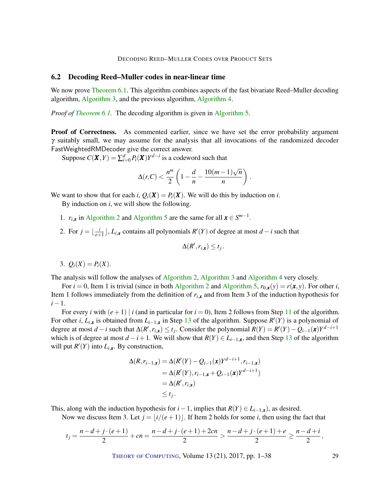## 6.2 Decoding Reed–Muller codes in near-linear time

We now prove [Theorem](#page-21-2) [6.1.](#page-21-2) This algorithm combines aspects of the fast bivariate Reed–Muller decoding algorithm, [Algorithm](#page-18-0) [3,](#page-18-0) and the previous algorithm, [Algorithm](#page-23-0) [4.](#page-23-0)

*Proof of [Theorem](#page-21-2) [6.1.](#page-21-2)* The decoding algorithm is given in [Algorithm](#page-29-0) [5.](#page-29-0)

**Proof of Correctness.** As commented earlier, since we have set the error probability argument  $\gamma$  suitably small, we may assume for the analysis that all invocations of the randomized decoder FastWeightedRMDecoder give the correct answer.

Suppose  $C(\boldsymbol{X}, Y) = \sum_{i=0}^{d} P_i(\boldsymbol{X}) Y^{d-i}$  is a codeword such that

$$
\Delta(r,C) < \frac{n^m}{2} \left( 1 - \frac{d}{n} - \frac{10(m-1)\sqrt{n}}{n} \right).
$$

We want to show that for each *i*,  $Q_i(\mathbf{X}) = P_i(\mathbf{X})$ . We will do this by induction on *i*.

By induction on *i*, we will show the following.

- 1.  $r_{i,x}$  in [Algorithm](#page-29-0) [2](#page-13-0) and Algorithm [5](#page-29-0) are the same for all  $x \in S^{m-1}$ .
- 2. For  $j = \frac{i}{e^{\frac{i}{2}}}$  $\frac{i}{e+1}$ , *L*<sub>*i*,*x*</sub> contains all polynomials *R*<sup>'</sup>(*Y*) of degree at most *d* − *i* such that

$$
\Delta(R',r_{i,\mathbf{x}})\leq t_j.
$$

$$
3. \ Q_i(X) = P_i(X).
$$

The analysis will follow the analyses of [Algorithm](#page-13-0) [2,](#page-13-0) [Algorithm](#page-18-0) [3](#page-18-0) and [Algorithm](#page-23-0) [4](#page-23-0) very closely.

For  $i = 0$ , Item 1 is trivial (since in both [Algorithm](#page-29-0) [2](#page-13-0) and Algorithm [5,](#page-29-0)  $r_{0,x}(y) = r(x, y)$ ). For other *i*, Item 1 follows immediately from the definition of  $r_{i,x}$  and from Item 3 of the induction hypothesis for *i*−1.

For every *i* with  $(e+1) | i$  (and in particular for  $i = 0$ ), Item 2 follows from Step [11](#page-29-0) of the algorithm. For other *i*,  $L_{i,x}$  is obtained from  $L_{i-1,x}$  in Step [13](#page-29-0) of the algorithm. Suppose  $R'(Y)$  is a polynomial of degree at most  $d-i$  such that  $\Delta(R', r_{i,x}) \le t_j$ . Consider the polynomial  $R(Y) = R'(Y) - Q_{i-1}(x)Y^{d-i+1}$ which is of degree at most  $d - i + 1$ . We will show that  $R(Y) \in L_{i-1,x}$ , and then Step [13](#page-29-0) of the algorithm will put  $R'(Y)$  into  $L_{i,x}$ . By construction,

$$
\Delta(R, r_{i-1,x}) = \Delta(R'(Y) - Q_{i-1}(x)Y^{d-i+1}, r_{i-1,x})
$$
  
=  $\Delta(R'(Y), r_{i-1,x} + Q_{i-1}(x)Y^{d-i+1})$   
=  $\Delta(R', r_{i,x})$   
 $\leq t_j.$ 

This, along with the induction hypothesis for  $i-1$ , implies that  $R(Y) \in L_{i-1,x}$ , as desired.

Now we discuss Item 3. Let  $j = |i/(e+1)|$ . If Item 2 holds for some *i*, then using the fact that

$$
t_j = \frac{n-d+j\cdot(e+1)}{2} + cn = \frac{n-d+j\cdot(e+1)+2cn}{2} > \frac{n-d+j\cdot(e+1)+e}{2} \ge \frac{n-d+i}{2},
$$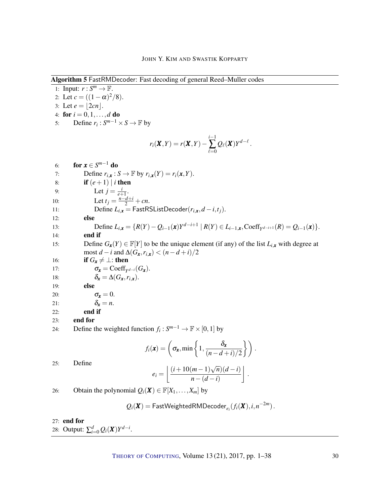Algorithm 5 FastRMDecoder: Fast decoding of general Reed–Muller codes

<span id="page-29-0"></span>1: Input:  $r: S^m \to \mathbb{F}$ . 2: Let  $c = ((1 - \alpha)^2/8)$ . 3: Let  $e = |2cn|$ . 4: **for**  $i = 0, 1, ..., d$  **do** 5: Define  $r_i: S^{m-1} \times S \to \mathbb{F}$  by  $r_i(X,Y) = r(X,Y)$ *i*−1  $\sum_{\ell=0}$  $Q_{\ell}(\boldsymbol{X})Y^{d-\ell}$ . 6: **for**  $x \in S^{m-1}$  do 7: Define  $r_{i,x}: S \to \mathbb{F}$  by  $r_{i,x}(Y) = r_i(x, Y)$ . 8: **if**  $(e+1) | i$  then 9: Let  $j = \frac{i}{e^+}$  $\frac{l}{e+1}$ . 10: Let  $t_j = \frac{n - d + i}{2} + cn$ . 11: Define  $L_{i,x}$  = FastRSListDecoder( $r_{i,x}, d-i, t_j$ ). 12: else 13: Define  $L_{i,x} = \{R(Y) - Q_{i-1}(x)Y^{d-i+1} | R(Y) \in L_{i-1,x}, \text{Coeff}_{Y^{d-i+1}}(R) = Q_{i-1}(x)\}.$ 14: end if 15: Define  $G_x(Y) \in \mathbb{F}[Y]$  to be the unique element (if any) of the list  $L_{i,x}$  with degree at most  $d - i$  and  $\Delta(G_{\mathbf{x}}, r_{i,\mathbf{x}}) < (n - d + i)/2$ 16: **if**  $G_x \neq \perp$ : then 17:  $\sigma_{\mathbf{x}} = \text{Coeff}_{Y^{d-i}}(G_{\mathbf{x}}).$ 18:  $\delta_{\mathbf{r}} = \Delta(G_{\mathbf{r}}, r_{i\mathbf{r}}).$ 19: else 20:  $\sigma_x = 0$ . 21:  $\delta_x = n$ . 22: end if 23: end for 24: Define the weighted function  $f_i: S^{m-1} \to \mathbb{F} \times [0,1]$  by  $f_i(\mathbf{x}) = \left( \sigma_{\mathbf{x}}, \min \left\{ 1, \frac{\delta_{\mathbf{x}}}{\sqrt{n-1}} \right\} \right)$  $\frac{\delta_{\mathbf{x}}}{(n-d+i)/2}$  . 25: Define  $e_i = \left( \frac{(i+10(m-1)\sqrt{n})(d-i)}{(d-i)} \right)$ *n*−(*d* −*i*) . 26: Obtain the polynomial  $Q_i(\mathbf{X}) \in \mathbb{F}[X_1, \ldots, X_m]$  by  $Q_i(\boldsymbol{X}) = \mathsf{FastWeightedRMDecoder}_{e_i}(f_i(\boldsymbol{X}), i, n^{-2m})$  .

## 27: end for

28: Output:  $\sum_{i=0}^{d} Q_i(\mathbf{X}) Y^{d-i}$ .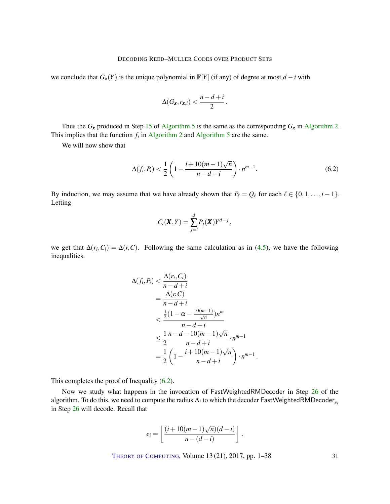we conclude that  $G_x(Y)$  is the unique polynomial in  $\mathbb{F}[Y]$  (if any) of degree at most *d* − *i* with

$$
\Delta(G_{\pmb{x}},r_{\pmb{x},i})<\frac{n-d+i}{2}.
$$

Thus the  $G_x$  produced in Step [15](#page-29-0) of [Algorithm](#page-13-0) [5](#page-29-0) is the same as the corresponding  $G_x$  in Algorithm [2.](#page-13-0) This implies that the function  $f_i$  in [Algorithm](#page-29-0) [2](#page-13-0) and Algorithm [5](#page-29-0) are the same.

We will now show that

<span id="page-30-0"></span>
$$
\Delta(f_i, P_i) < \frac{1}{2} \left( 1 - \frac{i + 10(m - 1)\sqrt{n}}{n - d + i} \right) \cdot n^{m - 1}.\tag{6.2}
$$

By induction, we may assume that we have already shown that  $P_\ell = Q_\ell$  for each  $\ell \in \{0,1,\ldots,i-1\}$ . Letting

$$
C_i(\mathbf{X}, Y) = \sum_{j=i}^d P_j(\mathbf{X}) Y^{d-j},
$$

we get that  $\Delta(r_i, C_i) = \Delta(r, C)$ . Following the same calculation as in [\(4.5\)](#page-15-0), we have the following inequalities.

$$
\Delta(f_i, P_i) < \frac{\Delta(r_i, C_i)}{n - d + i} \\
= \frac{\Delta(r, C)}{n - d + i} \\
\leq \frac{\frac{1}{2}(1 - \alpha - \frac{10(m-1)}{\sqrt{n}})n^m}{n - d + i} \\
\leq \frac{1}{2}\frac{n - d - 10(m - 1)\sqrt{n}}{n - d + i} \cdot n^{m - 1} \\
= \frac{1}{2}\left(1 - \frac{i + 10(m - 1)\sqrt{n}}{n - d + i}\right) \cdot n^{m - 1} \,.
$$

This completes the proof of Inequality [\(6.2\)](#page-30-0).

Now we study what happens in the invocation of FastWeightedRMDecoder in Step [26](#page-29-0) of the algorithm. To do this, we need to compute the radius  $\Lambda_i$  to which the decoder FastWeightedRMDecoder $_{e_i}$ in Step [26](#page-29-0) will decode. Recall that

$$
e_i = \left\lfloor \frac{(i+10(m-1)\sqrt{n})(d-i)}{n-(d-i)} \right\rfloor.
$$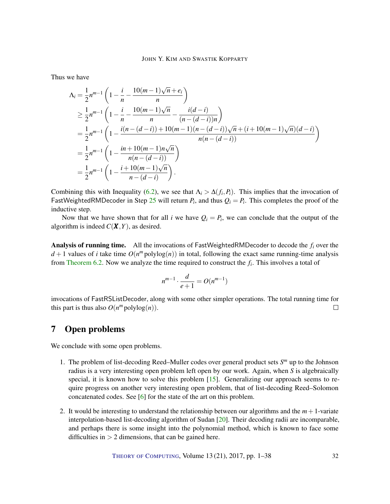<span id="page-31-0"></span>Thus we have

$$
\begin{split}\n\Lambda_i &= \frac{1}{2} n^{m-1} \left( 1 - \frac{i}{n} - \frac{10(m-1)\sqrt{n} + e_i}{n} \right) \\
&\ge \frac{1}{2} n^{m-1} \left( 1 - \frac{i}{n} - \frac{10(m-1)\sqrt{n}}{n} - \frac{i(d-i)}{(n-(d-i))n} \right) \\
&= \frac{1}{2} n^{m-1} \left( 1 - \frac{i(n-(d-i)) + 10(m-1)(n-(d-i))\sqrt{n} + (i+10(m-1)\sqrt{n})(d-i)}{n(n-(d-i))} \right) \\
&= \frac{1}{2} n^{m-1} \left( 1 - \frac{in + 10(m-1)n\sqrt{n}}{n(n-(d-i))} \right) \\
&= \frac{1}{2} n^{m-1} \left( 1 - \frac{i+10(m-1)\sqrt{n}}{n-(d-i)} \right).\n\end{split}
$$

Combining this with Inequality [\(6.2\)](#page-30-0), we see that  $\Lambda_i > \Delta(f_i, P_i)$ . This implies that the invocation of FastWeightedRMDecoder in Step [25](#page-18-0) will return  $P_i$ , and thus  $Q_i = P_i$ . This completes the proof of the inductive step.

Now that we have shown that for all *i* we have  $Q_i = P_i$ , we can conclude that the output of the algorithm is indeed  $C(X, Y)$ , as desired.

Analysis of running time. All the invocations of FastWeightedRMDecoder to decode the *f<sup>i</sup>* over the  $d+1$  values of *i* take time  $O(n^m \text{polylog}(n))$  in total, following the exact same running-time analysis from [Theorem](#page-21-1) [6.2.](#page-21-1) Now we analyze the time required to construct the *f<sup>i</sup>* . This involves a total of

$$
n^{m-1} \cdot \frac{d}{e+1} = O(n^{m-1})
$$

invocations of FastRSListDecoder, along with some other simpler operations. The total running time for this part is thus also  $O(n^m \text{polylog}(n))$ .  $\Box$ 

# 7 Open problems

We conclude with some open problems.

- 1. The problem of list-decoding Reed–Muller codes over general product sets *S <sup>m</sup>* up to the Johnson radius is a very interesting open problem left open by our work. Again, when *S* is algebraically special, it is known how to solve this problem [\[15\]](#page-36-7). Generalizing our approach seems to require progress on another very interesting open problem, that of list-decoding Reed–Solomon concatenated codes. See [\[6\]](#page-35-10) for the state of the art on this problem.
- 2. It would be interesting to understand the relationship between our algorithms and the  $m+1$ -variate interpolation-based list-decoding algorithm of Sudan [\[20\]](#page-36-8). Their decoding radii are incomparable, and perhaps there is some insight into the polynomial method, which is known to face some difficulties in  $> 2$  dimensions, that can be gained here.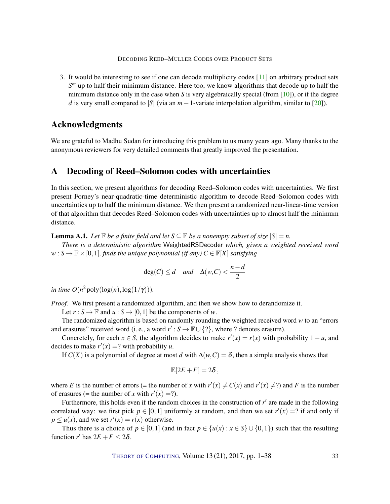<span id="page-32-0"></span>3. It would be interesting to see if one can decode multiplicity codes [\[11\]](#page-35-1) on arbitrary product sets *S <sup>m</sup>* up to half their minimum distance. Here too, we know algorithms that decode up to half the minimum distance only in the case when *S* is very algebraically special (from [\[10\]](#page-35-11)), or if the degree *d* is very small compared to |*S*| (via an  $m+1$ -variate interpolation algorithm, similar to [\[20\]](#page-36-8)).

# Acknowledgments

We are grateful to Madhu Sudan for introducing this problem to us many years ago. Many thanks to the anonymous reviewers for very detailed comments that greatly improved the presentation.

# A Decoding of Reed–Solomon codes with uncertainties

In this section, we present algorithms for decoding Reed–Solomon codes with uncertainties. We first present Forney's near-quadratic-time deterministic algorithm to decode Reed–Solomon codes with uncertainties up to half the minimum distance. We then present a randomized near-linear-time version of that algorithm that decodes Reed–Solomon codes with uncertainties up to almost half the minimum distance.

**Lemma A.1.** Let  $\mathbb{F}$  be a finite field and let  $S \subseteq \mathbb{F}$  be a nonempty subset of size  $|S| = n$ .

*There is a deterministic algorithm* WeightedRSDecoder *which, given a weighted received word*  $w : S \to \mathbb{F} \times [0,1]$ *, finds the unique polynomial (if any)*  $C \in \mathbb{F}[X]$  *satisfying* 

$$
\deg(C) \le d \quad \text{and} \quad \Delta(w, C) < \frac{n - d}{2}
$$

*in time*  $O(n^2 \text{poly}(\log(n),\log(1/\gamma)))$ *.* 

*Proof.* We first present a randomized algorithm, and then we show how to derandomize it.

Let  $r : S \to \mathbb{F}$  and  $u : S \to [0,1]$  be the components of *w*.

The randomized algorithm is based on randomly rounding the weighted received word *w* to an "errors and erasures" received word (i. e., a word  $r' : S \to \mathbb{F} \cup \{? \}$ , where ? denotes erasure).

Concretely, for each  $x \in S$ , the algorithm decides to make  $r'(x) = r(x)$  with probability 1 − *u*, and decides to make  $r'(x) = ?$  with probability *u*.

If  $C(X)$  is a polynomial of degree at most *d* with  $\Delta(w, C) = \delta$ , then a simple analysis shows that

$$
\mathbb{E}[2E+F]=2\delta\,,
$$

where *E* is the number of errors (= the number of *x* with  $r'(x) \neq C(x)$  and  $r'(x) \neq ?$ ) and *F* is the number of erasures (= the number of *x* with  $r'(x) = ?$ ).

Furthermore, this holds even if the random choices in the construction of  $r'$  are made in the following correlated way: we first pick  $p \in [0,1]$  uniformly at random, and then we set  $r'(x) = ?$  if and only if  $p \le u(x)$ , and we set  $r'(x) = r(x)$  otherwise.

Thus there is a choice of  $p \in [0,1]$  (and in fact  $p \in \{u(x) : x \in S\} \cup \{0,1\}$ ) such that the resulting function *r'* has  $2E + F \le 2\delta$ .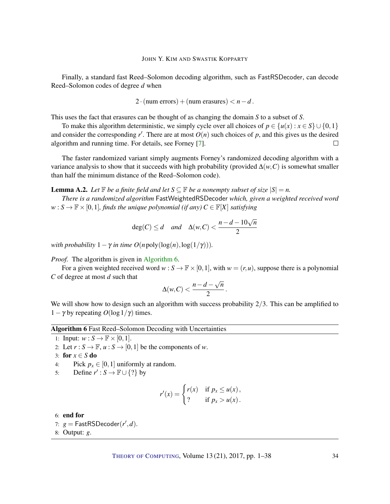<span id="page-33-1"></span>Finally, a standard fast Reed–Solomon decoding algorithm, such as FastRSDecoder, can decode Reed–Solomon codes of degree *d* when

$$
2 \cdot (num\ errors) + (num\ erasures) < n - d.
$$

This uses the fact that erasures can be thought of as changing the domain *S* to a subset of *S*.

To make this algorithm deterministic, we simply cycle over all choices of  $p \in \{u(x) : x \in S\} \cup \{0,1\}$ and consider the corresponding  $r'$ . There are at most  $O(n)$  such choices of  $p$ , and this gives us the desired algorithm and running time. For details, see Forney [\[7\]](#page-35-7).  $\Box$ 

The faster randomized variant simply augments Forney's randomized decoding algorithm with a variance analysis to show that it succeeds with high probability (provided  $\Delta(w, C)$ ) is somewhat smaller than half the minimum distance of the Reed–Solomon code).

**Lemma A.2.** Let  $\mathbb{F}$  be a finite field and let  $S \subseteq \mathbb{F}$  be a nonempty subset of size  $|S| = n$ .

*There is a randomized algorithm* FastWeightedRSDecoder *which, given a weighted received word*  $w : S \to \mathbb{F} \times [0,1]$ *, finds the unique polynomial (if any)*  $C \in \mathbb{F}[X]$  *satisfying* 

$$
deg(C) \le d \quad and \quad \Delta(w, C) < \frac{n - d - 10\sqrt{n}}{2}
$$

*with probability*  $1 - \gamma$  *in time O*(*n* poly(log(*n*), log(1/ $\gamma$ ))).

*Proof.* The algorithm is given in [Algorithm](#page-33-0) [6.](#page-33-0)

For a given weighted received word  $w : S \to \mathbb{F} \times [0,1]$ , with  $w = (r,u)$ , suppose there is a polynomial *C* of degree at most *d* such that √

$$
\Delta(w,C)<\frac{n-d-\sqrt{n}}{2}.
$$

We will show how to design such an algorithm with success probability  $2/3$ . This can be amplified to 1 – γ by repeating  $O(\log 1/\gamma)$  times.

Algorithm 6 Fast Reed–Solomon Decoding with Uncertainties

<span id="page-33-0"></span>1: Input:  $w : S \to \mathbb{F} \times [0,1].$ 

2: Let  $r : S \to \mathbb{F}$ ,  $u : S \to [0,1]$  be the components of *w*.

3: for  $x \in S$  do

4: Pick  $p_x \in [0,1]$  uniformly at random.

5: Define  $r': S \to \mathbb{F} \cup \{? \}$  by

$$
r'(x) = \begin{cases} r(x) & \text{if } p_x \le u(x), \\ ? & \text{if } p_x > u(x). \end{cases}
$$

6: end for 7:  $g = \text{FastRSDecoder}(r', d)$ . 8: Output: *g*.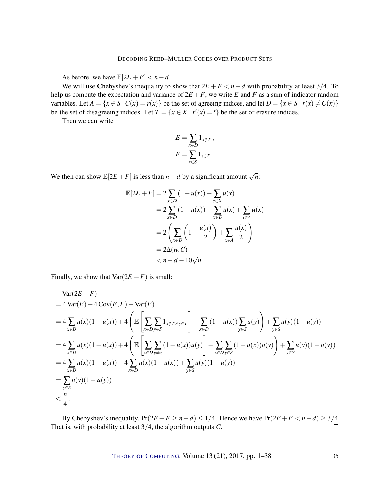As before, we have  $\mathbb{E}[2E + F] < n - d$ .

We will use Chebyshev's inequality to show that  $2E + F < n - d$  with probability at least 3/4. To help us compute the expectation and variance of  $2E + F$ , we write *E* and *F* as a sum of indicator random variables. Let  $A = \{x \in S \mid C(x) = r(x)\}$  be the set of agreeing indices, and let  $D = \{x \in S \mid r(x) \neq C(x)\}$ be the set of disagreeing indices. Let  $T = \{x \in X \mid r'(x) = ?\}$  be the set of erasure indices.

Then we can write

$$
E = \sum_{x \in D} 1_{x \notin T},
$$
  

$$
F = \sum_{x \in S} 1_{x \in T}.
$$

We then can show  $\mathbb{E}[2E + F]$  is less than *n* − *d* by a significant amount  $\sqrt{n}$ :

$$
\mathbb{E}[2E + F] = 2 \sum_{x \in D} (1 - u(x)) + \sum_{s \in X} u(x)
$$
  
= 2 \sum\_{x \in D} (1 - u(x)) + \sum\_{x \in D} u(x) + \sum\_{x \in A} u(x)  
= 2 \left( \sum\_{x \in D} \left( 1 - \frac{u(x)}{2} \right) + \sum\_{x \in A} \frac{u(x)}{2} \right)  
= 2\Delta(w, C)  
< n - d - 10\sqrt{n}.

Finally, we show that  $Var(2E + F)$  is small:

$$
\begin{split}\n\text{Var}(2E+F) \\
&=4\,\text{Var}(E) + 4\,\text{Cov}(E,F) + \text{Var}(F) \\
&=4\,\sum_{x\in D} u(x)(1-u(x)) + 4\left(\mathbb{E}\left[\sum_{x\in D}\sum_{y\in S} 1_{x\notin T\wedge y\in T}\right] - \sum_{x\in D} (1-u(x))\sum_{y\in S} u(y)\right) + \sum_{y\in S} u(y)(1-u(y)) \\
&=4\,\sum_{x\in D} u(x)(1-u(x)) + 4\left(\mathbb{E}\left[\sum_{x\in D}\sum_{y\neq x} (1-u(x))u(y)\right] - \sum_{x\in D}\sum_{y\in S} (1-u(x))u(y)\right) + \sum_{y\in S} u(y)(1-u(y)) \\
&=4\,\sum_{x\in D} u(x)(1-u(x)) - 4\,\sum_{x\in D} u(x)(1-u(x)) + \sum_{y\in S} u(y)(1-u(y)) \\
&= \sum_{y\in S} u(y)(1-u(y)) \\
&\leq \frac{n}{4}.\n\end{split}
$$

By Chebyshev's inequality,  $Pr(2E + F \ge n - d) \le 1/4$ . Hence we have  $Pr(2E + F < n - d) \ge 3/4$ . That is, with probability at least 3/4, the algorithm outputs *C*.  $\Box$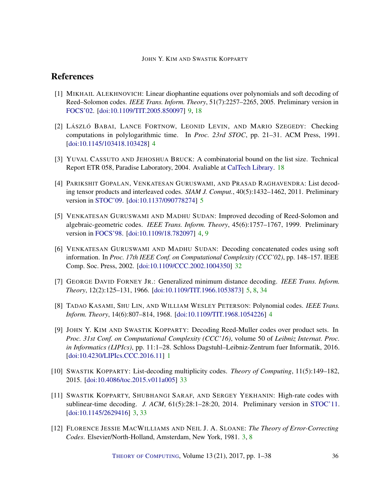# References

- <span id="page-35-8"></span>[1] MIKHAIL ALEKHNOVICH: Linear diophantine equations over polynomials and soft decoding of Reed–Solomon codes. *IEEE Trans. Inform. Theory*, 51(7):2257–2265, 2005. Preliminary version in [FOCS'02.](http://doi.org/10.1109/SFCS.2002.1181968) [\[doi:10.1109/TIT.2005.850097\]](http://dx.doi.org/10.1109/TIT.2005.850097) [9,](#page-8-2) [18](#page-17-0)
- <span id="page-35-5"></span>[2] LÁSZLÓ BABAI, LANCE FORTNOW, LEONID LEVIN, AND MARIO SZEGEDY: Checking computations in polylogarithmic time. In *Proc. 23rd STOC*, pp. 21–31. ACM Press, 1991. [\[doi:10.1145/103418.103428\]](http://dx.doi.org/10.1145/103418.103428) [4](#page-3-0)
- <span id="page-35-9"></span>[3] YUVAL CASSUTO AND JEHOSHUA BRUCK: A combinatorial bound on the list size. Technical Report ETR 058, Paradise Laboratory, 2004. Avaliable at [CalTech Library.](http://resolver.caltech.edu/CaltechPARADISE:2004.ETR058) [18](#page-17-0)
- <span id="page-35-6"></span>[4] PARIKSHIT GOPALAN, VENKATESAN GURUSWAMI, AND PRASAD RAGHAVENDRA: List decoding tensor products and interleaved codes. *SIAM J. Comput.*, 40(5):1432–1462, 2011. Preliminary version in [STOC'09.](http://doi.org/10.1145/1536414.1536419) [\[doi:10.1137/090778274\]](http://dx.doi.org/10.1137/090778274) [5](#page-4-0)
- <span id="page-35-3"></span>[5] VENKATESAN GURUSWAMI AND MADHU SUDAN: Improved decoding of Reed-Solomon and algebraic-geometric codes. *IEEE Trans. Inform. Theory*, 45(6):1757–1767, 1999. Preliminary version in [FOCS'98.](http://doi.org/10.1109/SFCS.1998.743426) [\[doi:10.1109/18.782097\]](http://dx.doi.org/10.1109/18.782097) [4,](#page-3-0) [9](#page-8-2)
- <span id="page-35-10"></span>[6] VENKATESAN GURUSWAMI AND MADHU SUDAN: Decoding concatenated codes using soft information. In *Proc. 17th IEEE Conf. on Computational Complexity (CCC'02)*, pp. 148–157. IEEE Comp. Soc. Press, 2002. [\[doi:10.1109/CCC.2002.1004350\]](http://dx.doi.org/10.1109/CCC.2002.1004350) [32](#page-31-0)
- <span id="page-35-7"></span>[7] GEORGE DAVID FORNEY JR.: Generalized minimum distance decoding. *IEEE Trans. Inform. Theory*, 12(2):125–131, 1966. [\[doi:10.1109/TIT.1966.1053873\]](http://dx.doi.org/10.1109/TIT.1966.1053873) [5,](#page-4-0) [8,](#page-7-0) [34](#page-33-1)
- <span id="page-35-4"></span>[8] TADAO KASAMI, SHU LIN, AND WILLIAM WESLEY PETERSON: Polynomial codes. *IEEE Trans. Inform. Theory*, 14(6):807–814, 1968. [\[doi:10.1109/TIT.1968.1054226\]](http://dx.doi.org/10.1109/TIT.1968.1054226) [4](#page-3-0)
- <span id="page-35-0"></span>[9] JOHN Y. KIM AND SWASTIK KOPPARTY: Decoding Reed-Muller codes over product sets. In *Proc. 31st Conf. on Computational Complexity (CCC'16)*, volume 50 of *Leibniz Internat. Proc. in Informatics (LIPIcs)*, pp. 11:1–28. Schloss Dagstuhl–Leibniz-Zentrum fuer Informatik, 2016. [\[doi:10.4230/LIPIcs.CCC.2016.11\]](http://dx.doi.org/10.4230/LIPIcs.CCC.2016.11) [1](#page-0-0)
- <span id="page-35-11"></span>[10] SWASTIK KOPPARTY: List-decoding multiplicity codes. *Theory of Computing*, 11(5):149–182, 2015. [\[doi:10.4086/toc.2015.v011a005\]](http://dx.doi.org/10.4086/toc.2015.v011a005) [33](#page-32-0)
- <span id="page-35-1"></span>[11] SWASTIK KOPPARTY, SHUBHANGI SARAF, AND SERGEY YEKHANIN: High-rate codes with sublinear-time decoding. *J. ACM*, 61(5):28:1–28:20, 2014. Preliminary version in [STOC'11.](http://doi.org/10.1145/1993636.1993660) [\[doi:10.1145/2629416\]](http://dx.doi.org/10.1145/2629416) [3,](#page-2-0) [33](#page-32-0)
- <span id="page-35-2"></span>[12] FLORENCE JESSIE MACWILLIAMS AND NEIL J. A. SLOANE: *The Theory of Error-Correcting Codes*. Elsevier/North-Holland, Amsterdam, New York, 1981. [3,](#page-2-0) [8](#page-7-0)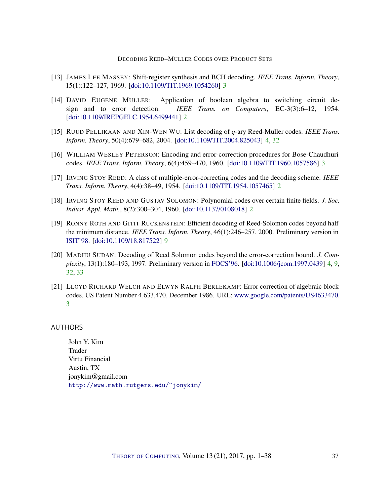- <span id="page-36-5"></span>[13] JAMES LEE MASSEY: Shift-register synthesis and BCH decoding. *IEEE Trans. Inform. Theory*, 15(1):122–127, 1969. [\[doi:10.1109/TIT.1969.1054260\]](http://dx.doi.org/10.1109/TIT.1969.1054260) [3](#page-2-0)
- <span id="page-36-2"></span>[14] DAVID EUGENE MULLER: Application of boolean algebra to switching circuit design and to error detection. *IEEE Trans. on Computers*, EC-3(3):6–12, 1954. [\[doi:10.1109/IREPGELC.1954.6499441\]](http://dx.doi.org/10.1109/IREPGELC.1954.6499441) [2](#page-1-1)
- <span id="page-36-7"></span>[15] RUUD PELLIKAAN AND XIN-WEN WU: List decoding of *q*-ary Reed-Muller codes. *IEEE Trans. Inform. Theory*, 50(4):679–682, 2004. [\[doi:10.1109/TIT.2004.825043\]](http://dx.doi.org/10.1109/TIT.2004.825043) [4,](#page-3-0) [32](#page-31-0)
- <span id="page-36-4"></span>[16] WILLIAM WESLEY PETERSON: Encoding and error-correction procedures for Bose-Chaudhuri codes. *IEEE Trans. Inform. Theory*, 6(4):459–470, 1960. [\[doi:10.1109/TIT.1960.1057586\]](http://dx.doi.org/10.1109/TIT.1960.1057586) [3](#page-2-0)
- <span id="page-36-3"></span>[17] IRVING STOY REED: A class of multiple-error-correcting codes and the decoding scheme. *IEEE Trans. Inform. Theory*, 4(4):38–49, 1954. [\[doi:10.1109/TIT.1954.1057465\]](http://dx.doi.org/10.1109/TIT.1954.1057465) [2](#page-1-1)
- <span id="page-36-1"></span>[18] IRVING STOY REED AND GUSTAV SOLOMON: Polynomial codes over certain finite fields. *J. Soc. Indust. Appl. Math.*, 8(2):300–304, 1960. [\[doi:10.1137/0108018\]](http://dx.doi.org/10.1137/0108018) [2](#page-1-1)
- <span id="page-36-9"></span>[19] RONNY ROTH AND GITIT RUCKENSTEIN: Efficient decoding of Reed-Solomon codes beyond half the minimum distance. *IEEE Trans. Inform. Theory*, 46(1):246–257, 2000. Preliminary version in [ISIT'98.](http://doi.org/10.1109/ISIT.1998.708637) [\[doi:10.1109/18.817522\]](http://dx.doi.org/10.1109/18.817522) [9](#page-8-2)
- <span id="page-36-8"></span>[20] MADHU SUDAN: Decoding of Reed Solomon codes beyond the error-correction bound. *J. Complexity*, 13(1):180–193, 1997. Preliminary version in [FOCS'96.](http://doi.org/10.1109/SFCS.1996.548475) [\[doi:10.1006/jcom.1997.0439\]](http://dx.doi.org/10.1006/jcom.1997.0439) [4,](#page-3-0) [9,](#page-8-2) [32,](#page-31-0) [33](#page-32-0)
- <span id="page-36-6"></span>[21] LLOYD RICHARD WELCH AND ELWYN RALPH BERLEKAMP: Error correction of algebraic block codes. US Patent Number 4,633,470, December 1986. URL: [www.google.com/patents/US4633470.](https://www.google.com/patents/US4633470) [3](#page-2-0)

<span id="page-36-0"></span>AUTHORS

John Y. Kim Trader Virtu Financial Austin, TX jonykim@gmail.com <http://www.math.rutgers.edu/~jonykim/>